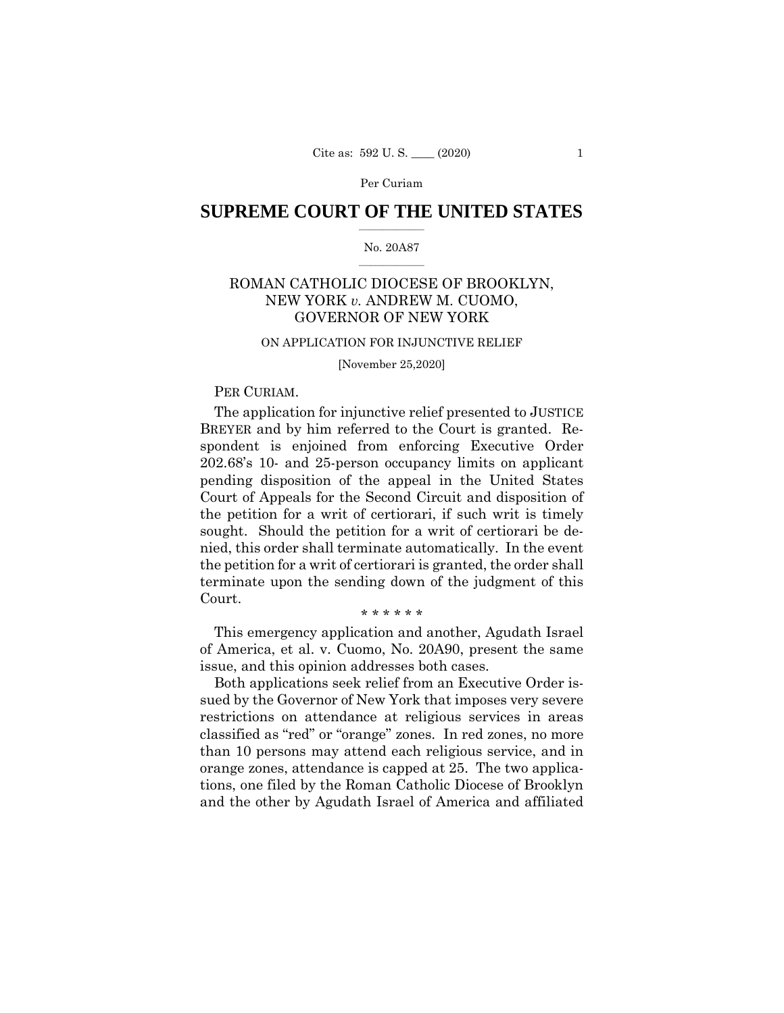# **SUPREME COURT OF THE UNITED STATES**  $\overline{\phantom{a}}$  , where  $\overline{\phantom{a}}$

## No. 20A87  $\overline{\phantom{a}}$  , where  $\overline{\phantom{a}}$

# ROMAN CATHOLIC DIOCESE OF BROOKLYN, NEW YORK *v.* ANDREW M. CUOMO, GOVERNOR OF NEW YORK

#### ON APPLICATION FOR INJUNCTIVE RELIEF

[November 25,2020]

## PER CURIAM.

The application for injunctive relief presented to JUSTICE BREYER and by him referred to the Court is granted. Respondent is enjoined from enforcing Executive Order 202.68's 10- and 25-person occupancy limits on applicant pending disposition of the appeal in the United States Court of Appeals for the Second Circuit and disposition of the petition for a writ of certiorari, if such writ is timely sought. Should the petition for a writ of certiorari be denied, this order shall terminate automatically. In the event the petition for a writ of certiorari is granted, the order shall terminate upon the sending down of the judgment of this Court.

\* \* \* \* \* \*

This emergency application and another, Agudath Israel of America, et al. v. Cuomo, No. 20A90, present the same issue, and this opinion addresses both cases.

Both applications seek relief from an Executive Order issued by the Governor of New York that imposes very severe restrictions on attendance at religious services in areas classified as "red" or "orange" zones. In red zones, no more than 10 persons may attend each religious service, and in orange zones, attendance is capped at 25. The two applications, one filed by the Roman Catholic Diocese of Brooklyn and the other by Agudath Israel of America and affiliated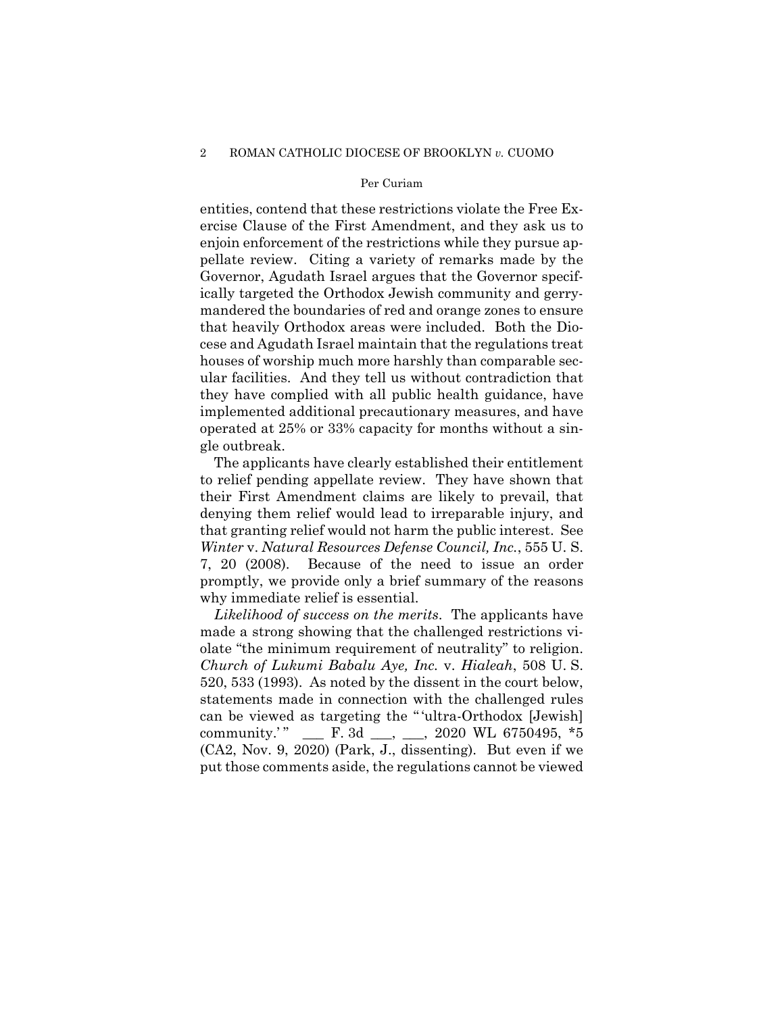entities, contend that these restrictions violate the Free Exercise Clause of the First Amendment, and they ask us to enjoin enforcement of the restrictions while they pursue appellate review. Citing a variety of remarks made by the Governor, Agudath Israel argues that the Governor specifically targeted the Orthodox Jewish community and gerrymandered the boundaries of red and orange zones to ensure that heavily Orthodox areas were included. Both the Diocese and Agudath Israel maintain that the regulations treat houses of worship much more harshly than comparable secular facilities. And they tell us without contradiction that they have complied with all public health guidance, have implemented additional precautionary measures, and have operated at 25% or 33% capacity for months without a single outbreak.

The applicants have clearly established their entitlement to relief pending appellate review. They have shown that their First Amendment claims are likely to prevail, that denying them relief would lead to irreparable injury, and that granting relief would not harm the public interest. See *Winter* v. *Natural Resources Defense Council, Inc.*, 555 U. S. 7, 20 (2008). Because of the need to issue an order promptly, we provide only a brief summary of the reasons why immediate relief is essential.

 (CA2, Nov. 9, 2020) (Park, J., dissenting). But even if we *Likelihood of success on the merits*. The applicants have made a strong showing that the challenged restrictions violate "the minimum requirement of neutrality" to religion. *Church of Lukumi Babalu Aye, Inc.* v. *Hialeah*, 508 U. S. 520, 533 (1993). As noted by the dissent in the court below, statements made in connection with the challenged rules can be viewed as targeting the " 'ultra-Orthodox [Jewish] community.'" \_\_\_ F. 3d \_\_, \_\_, 2020 WL 6750495,  $*5$ put those comments aside, the regulations cannot be viewed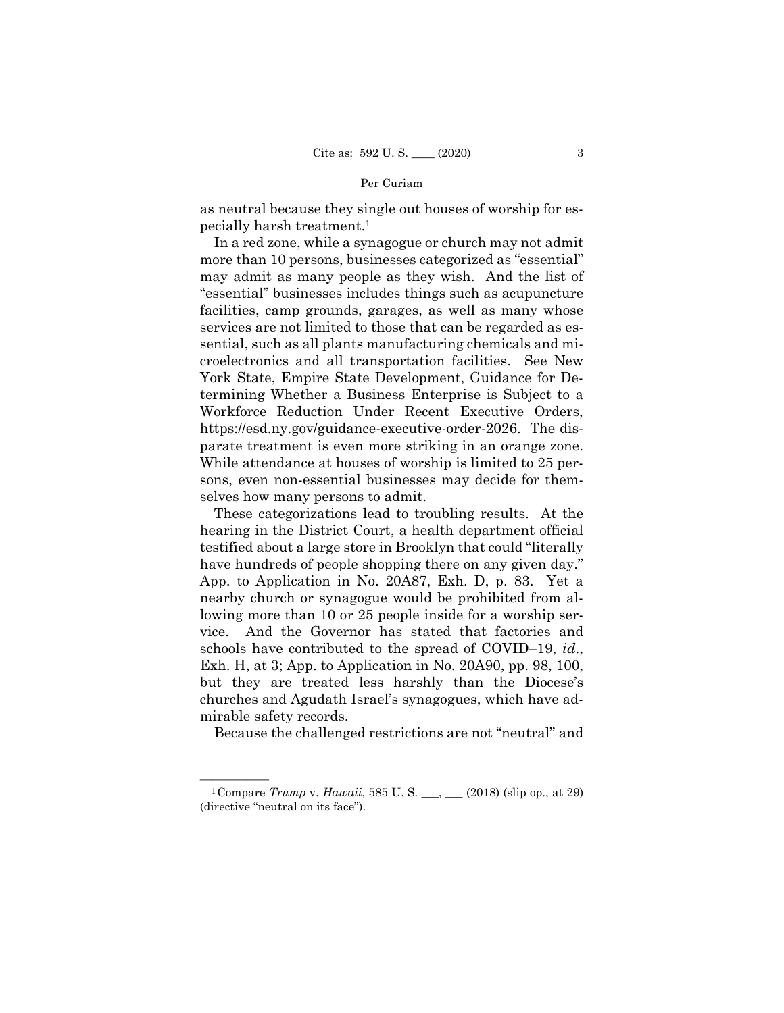as neutral because they single out houses of worship for especially harsh treatment.1

 parate treatment is even more striking in an orange zone. In a red zone, while a synagogue or church may not admit more than 10 persons, businesses categorized as "essential" may admit as many people as they wish. And the list of "essential" businesses includes things such as acupuncture facilities, camp grounds, garages, as well as many whose services are not limited to those that can be regarded as essential, such as all plants manufacturing chemicals and microelectronics and all transportation facilities. See New York State, Empire State Development, Guidance for Determining Whether a Business Enterprise is Subject to a Workforce Reduction Under Recent Executive Orders, [https://esd.ny.gov/guidance-executive-order-2026.](https://esd.ny.gov/guidance-executive-order-2026) The dis-While attendance at houses of worship is limited to 25 persons, even non-essential businesses may decide for themselves how many persons to admit.

These categorizations lead to troubling results. At the hearing in the District Court, a health department official testified about a large store in Brooklyn that could "literally have hundreds of people shopping there on any given day." App. to Application in No. 20A87, Exh. D, p. 83. Yet a nearby church or synagogue would be prohibited from allowing more than 10 or 25 people inside for a worship service. And the Governor has stated that factories and schools have contributed to the spread of COVID–19, *id*., Exh. H, at 3; App. to Application in No. 20A90, pp. 98, 100, but they are treated less harshly than the Diocese's churches and Agudath Israel's synagogues, which have admirable safety records.

Because the challenged restrictions are not "neutral" and

<sup>&</sup>lt;sup>1</sup> Compare *Trump* v. *Hawaii*, 585 U. S. \_\_, \_\_ (2018) (slip op., at 29) (directive "neutral on its face").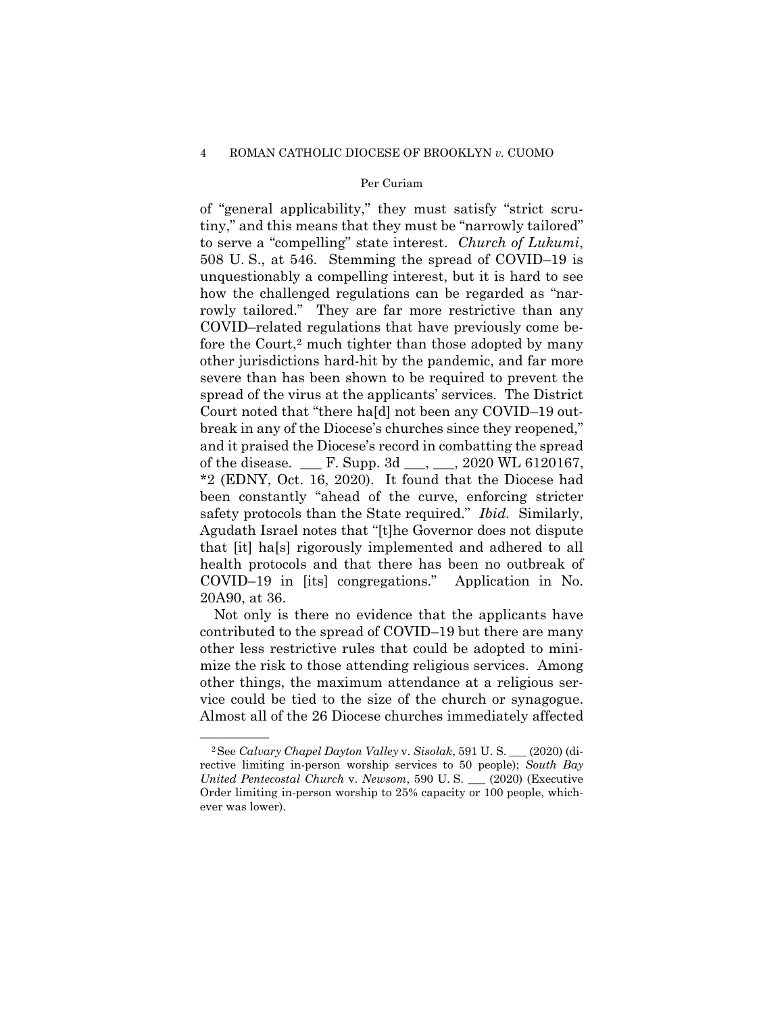of "general applicability," they must satisfy "strict scrutiny," and this means that they must be "narrowly tailored" to serve a "compelling" state interest. *Church of Lukumi*, 508 U. S., at 546. Stemming the spread of COVID–19 is unquestionably a compelling interest, but it is hard to see how the challenged regulations can be regarded as "narrowly tailored." They are far more restrictive than any COVID–related regulations that have previously come before the Court,<sup>2</sup> much tighter than those adopted by many other jurisdictions hard-hit by the pandemic, and far more severe than has been shown to be required to prevent the spread of the virus at the applicants' services. The District Court noted that "there ha[d] not been any COVID–19 outbreak in any of the Diocese's churches since they reopened," and it praised the Diocese's record in combatting the spread of the disease. \_\_\_ F. Supp. 3d \_\_\_, \_\_\_, 2020 WL 6120167, \*2 (EDNY, Oct. 16, 2020). It found that the Diocese had been constantly "ahead of the curve, enforcing stricter safety protocols than the State required." *Ibid.* Similarly, Agudath Israel notes that "[t]he Governor does not dispute that [it] ha[s] rigorously implemented and adhered to all health protocols and that there has been no outbreak of COVID–19 in [its] congregations." Application in No. 20A90, at 36.

Not only is there no evidence that the applicants have contributed to the spread of COVID–19 but there are many other less restrictive rules that could be adopted to minimize the risk to those attending religious services. Among other things, the maximum attendance at a religious service could be tied to the size of the church or synagogue. Almost all of the 26 Diocese churches immediately affected

<sup>—————— 2</sup>See *Calvary Chapel Dayton Valley* v. *Sisolak*, 591 U. S. \_\_\_ (2020) (directive limiting in-person worship services to 50 people); *South Bay United Pentecostal Church* v. *Newsom*, 590 U. S. \_\_\_ (2020) (Executive Order limiting in-person worship to 25% capacity or 100 people, whichever was lower).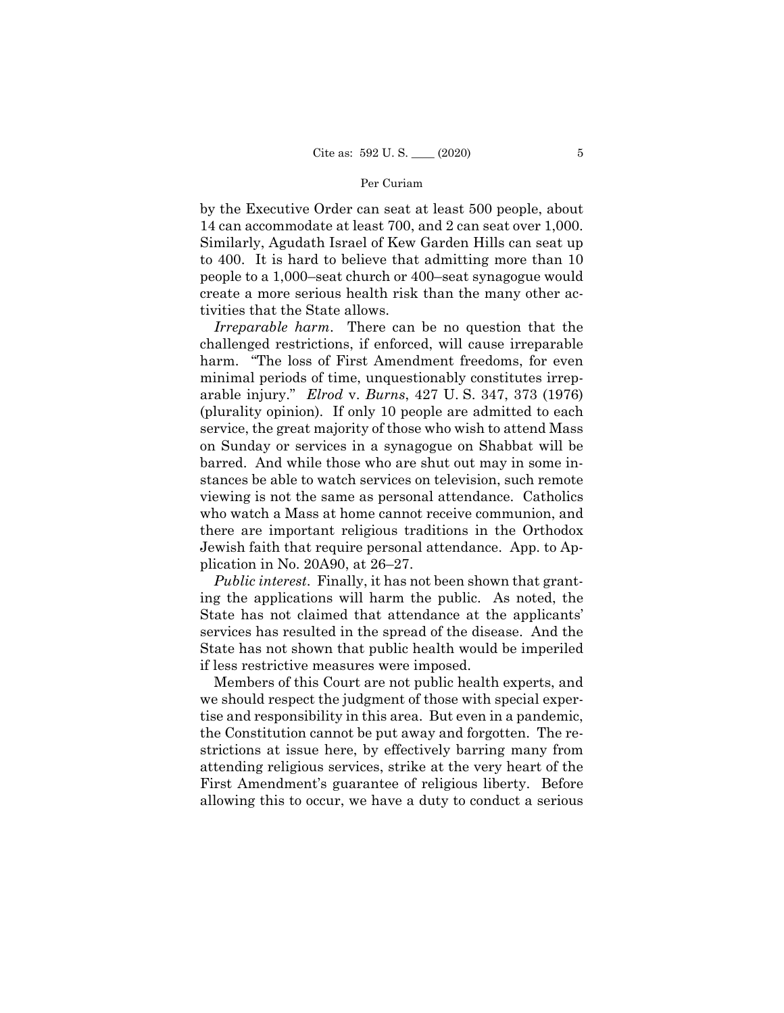by the Executive Order can seat at least 500 people, about 14 can accommodate at least 700, and 2 can seat over 1,000. Similarly, Agudath Israel of Kew Garden Hills can seat up to 400. It is hard to believe that admitting more than 10 people to a 1,000–seat church or 400–seat synagogue would create a more serious health risk than the many other activities that the State allows.

 *Irreparable harm*. There can be no question that the challenged restrictions, if enforced, will cause irreparable harm. "The loss of First Amendment freedoms, for even minimal periods of time, unquestionably constitutes irreparable injury." *Elrod* v. *Burns*, 427 U. S. 347, 373 (1976) (plurality opinion). If only 10 people are admitted to each service, the great majority of those who wish to attend Mass on Sunday or services in a synagogue on Shabbat will be barred. And while those who are shut out may in some instances be able to watch services on television, such remote viewing is not the same as personal attendance. Catholics who watch a Mass at home cannot receive communion, and there are important religious traditions in the Orthodox Jewish faith that require personal attendance. App. to Application in No. 20A90, at 26–27.

 *Public interest*. Finally, it has not been shown that granting the applications will harm the public. As noted, the State has not claimed that attendance at the applicants' services has resulted in the spread of the disease. And the State has not shown that public health would be imperiled if less restrictive measures were imposed.

Members of this Court are not public health experts, and we should respect the judgment of those with special expertise and responsibility in this area. But even in a pandemic, the Constitution cannot be put away and forgotten. The restrictions at issue here, by effectively barring many from attending religious services, strike at the very heart of the First Amendment's guarantee of religious liberty. Before allowing this to occur, we have a duty to conduct a serious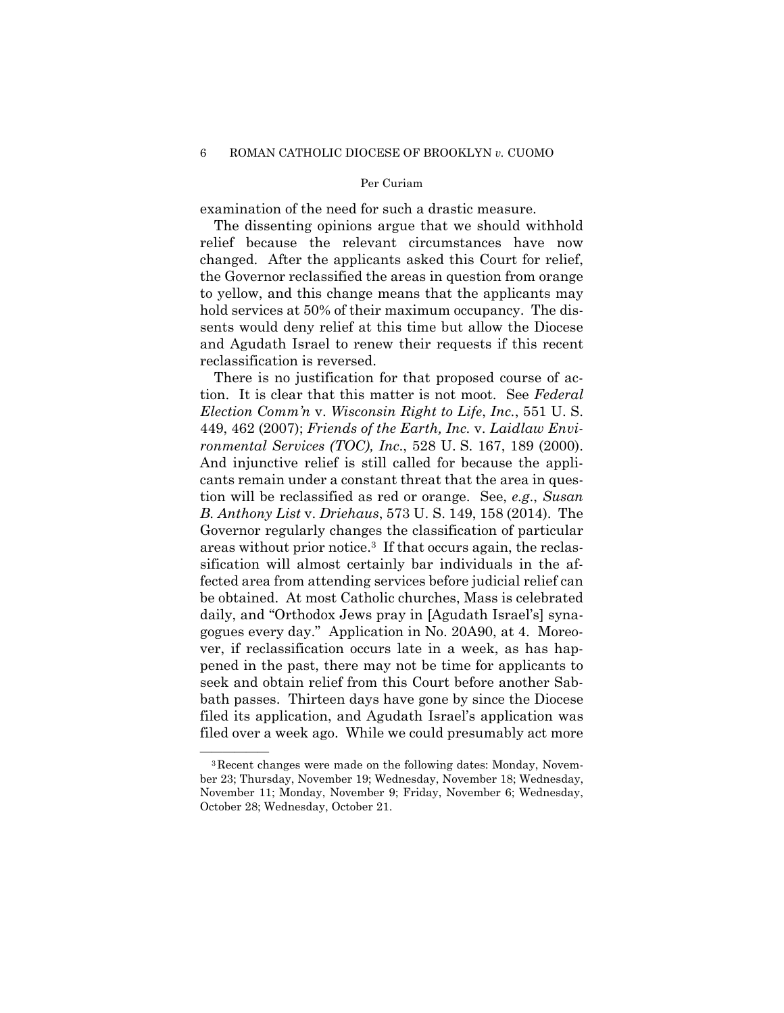examination of the need for such a drastic measure.

The dissenting opinions argue that we should withhold relief because the relevant circumstances have now changed. After the applicants asked this Court for relief, the Governor reclassified the areas in question from orange to yellow, and this change means that the applicants may hold services at 50% of their maximum occupancy. The dissents would deny relief at this time but allow the Diocese and Agudath Israel to renew their requests if this recent reclassification is reversed.

There is no justification for that proposed course of action. It is clear that this matter is not moot. See *Federal Election Comm'n* v. *Wisconsin Right to Life*, *Inc.*, 551 U. S. 449, 462 (2007); *Friends of the Earth, Inc.* v. *Laidlaw Environmental Services (TOC), Inc*., 528 U. S. 167, 189 (2000). And injunctive relief is still called for because the applicants remain under a constant threat that the area in question will be reclassified as red or orange. See, *e.g*., *Susan B. Anthony List* v. *Driehaus*, 573 U. S. 149, 158 (2014). The Governor regularly changes the classification of particular areas without prior notice.3 If that occurs again, the reclassification will almost certainly bar individuals in the affected area from attending services before judicial relief can be obtained. At most Catholic churches, Mass is celebrated daily, and "Orthodox Jews pray in [Agudath Israel's] synagogues every day." Application in No. 20A90, at 4. Moreover, if reclassification occurs late in a week, as has happened in the past, there may not be time for applicants to seek and obtain relief from this Court before another Sabbath passes. Thirteen days have gone by since the Diocese filed its application, and Agudath Israel's application was filed over a week ago. While we could presumably act more

<sup>&</sup>lt;sup>3</sup>Recent changes were made on the following dates: Monday, November 23; Thursday, November 19; Wednesday, November 18; Wednesday, November 11; Monday, November 9; Friday, November 6; Wednesday, October 28; Wednesday, October 21.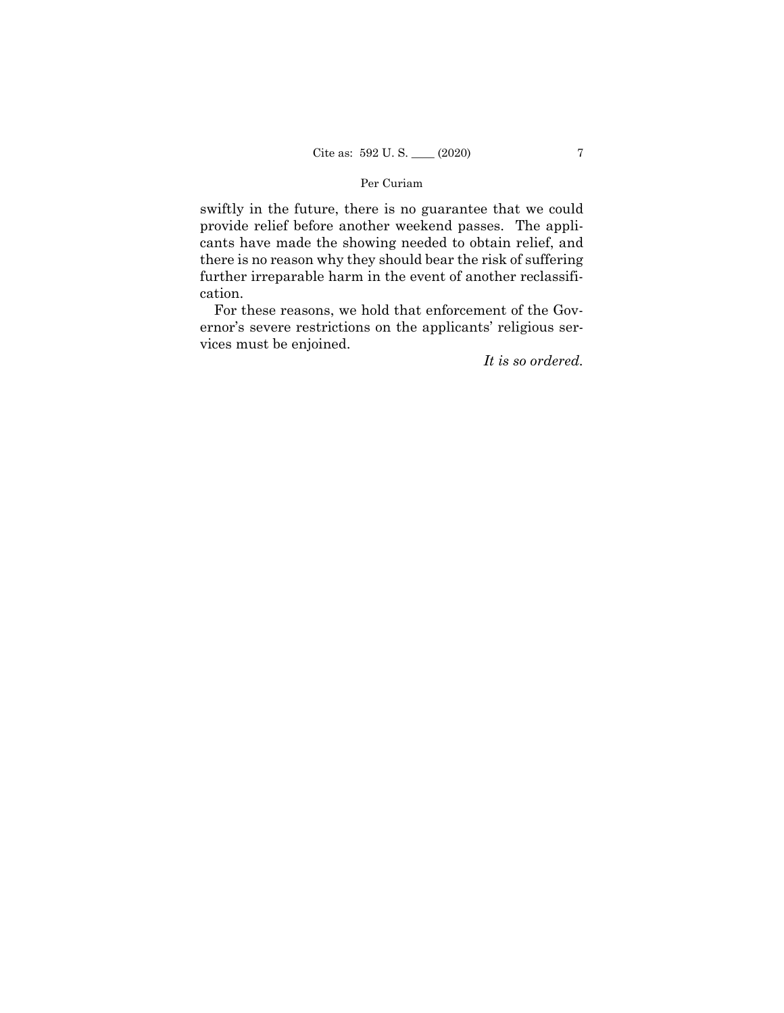swiftly in the future, there is no guarantee that we could provide relief before another weekend passes. The applicants have made the showing needed to obtain relief, and there is no reason why they should bear the risk of suffering further irreparable harm in the event of another reclassification.

For these reasons, we hold that enforcement of the Governor's severe restrictions on the applicants' religious services must be enjoined.

*It is so ordered.*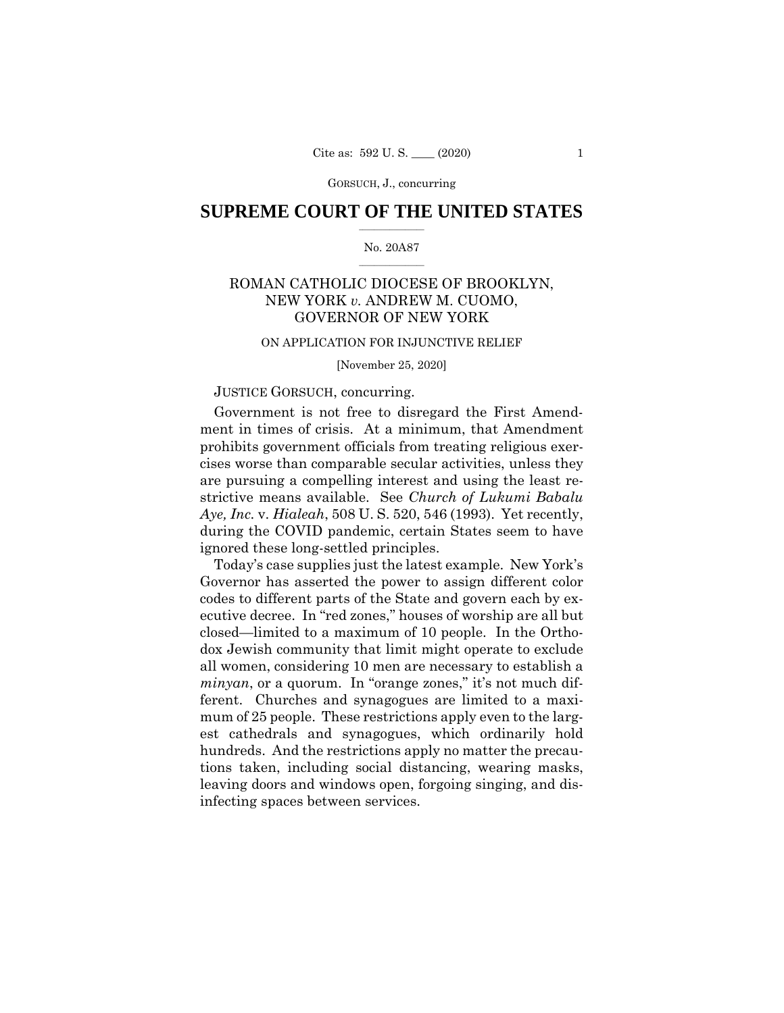# $\frac{1}{2}$  ,  $\frac{1}{2}$  ,  $\frac{1}{2}$  ,  $\frac{1}{2}$  ,  $\frac{1}{2}$  ,  $\frac{1}{2}$  ,  $\frac{1}{2}$ **SUPREME COURT OF THE UNITED STATES**

## $\frac{1}{2}$  ,  $\frac{1}{2}$  ,  $\frac{1}{2}$  ,  $\frac{1}{2}$  ,  $\frac{1}{2}$  ,  $\frac{1}{2}$ No. 20A87

# ROMAN CATHOLIC DIOCESE OF BROOKLYN, NEW YORK *v.* ANDREW M. CUOMO, GOVERNOR OF NEW YORK

# ON APPLICATION FOR INJUNCTIVE RELIEF

[November 25, 2020]

# JUSTICE GORSUCH, concurring.

Government is not free to disregard the First Amendment in times of crisis. At a minimum, that Amendment prohibits government officials from treating religious exercises worse than comparable secular activities, unless they are pursuing a compelling interest and using the least restrictive means available. See *Church of Lukumi Babalu Aye, Inc.* v. *Hialeah*, 508 U. S. 520, 546 (1993). Yet recently, during the COVID pandemic, certain States seem to have ignored these long-settled principles.

 closed—limited to a maximum of 10 people. In the Ortho-Today's case supplies just the latest example. New York's Governor has asserted the power to assign different color codes to different parts of the State and govern each by executive decree. In "red zones," houses of worship are all but dox Jewish community that limit might operate to exclude all women, considering 10 men are necessary to establish a *minyan*, or a quorum. In "orange zones," it's not much different. Churches and synagogues are limited to a maximum of 25 people. These restrictions apply even to the largest cathedrals and synagogues, which ordinarily hold hundreds. And the restrictions apply no matter the precautions taken, including social distancing, wearing masks, leaving doors and windows open, forgoing singing, and disinfecting spaces between services.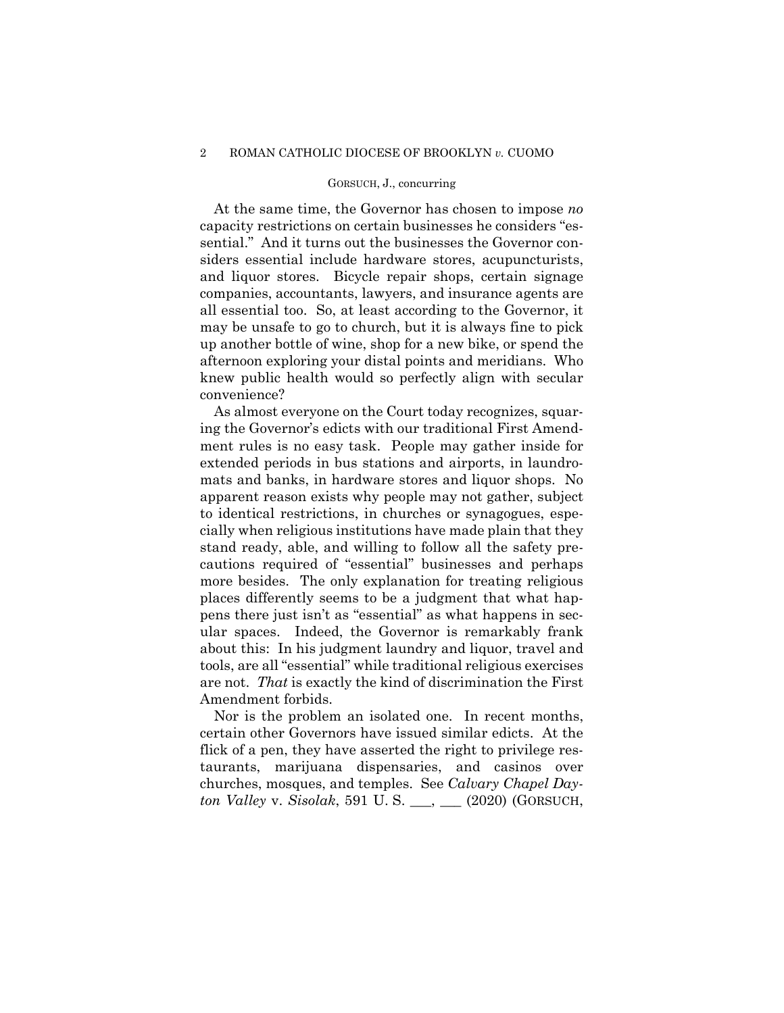#### 2 ROMAN CATHOLIC DIOCESE OF BROOKLYN *v.* CUOMO

### GORSUCH, J., concurring

At the same time, the Governor has chosen to impose *no*  capacity restrictions on certain businesses he considers "essential." And it turns out the businesses the Governor considers essential include hardware stores, acupuncturists, and liquor stores. Bicycle repair shops, certain signage companies, accountants, lawyers, and insurance agents are all essential too. So, at least according to the Governor, it may be unsafe to go to church, but it is always fine to pick up another bottle of wine, shop for a new bike, or spend the afternoon exploring your distal points and meridians. Who knew public health would so perfectly align with secular convenience?

 mats and banks, in hardware stores and liquor shops. No As almost everyone on the Court today recognizes, squaring the Governor's edicts with our traditional First Amendment rules is no easy task. People may gather inside for extended periods in bus stations and airports, in laundroapparent reason exists why people may not gather, subject to identical restrictions, in churches or synagogues, especially when religious institutions have made plain that they stand ready, able, and willing to follow all the safety precautions required of "essential" businesses and perhaps more besides. The only explanation for treating religious places differently seems to be a judgment that what happens there just isn't as "essential" as what happens in secular spaces. Indeed, the Governor is remarkably frank about this: In his judgment laundry and liquor, travel and tools, are all "essential" while traditional religious exercises are not. *That* is exactly the kind of discrimination the First Amendment forbids.

Nor is the problem an isolated one. In recent months, certain other Governors have issued similar edicts. At the flick of a pen, they have asserted the right to privilege restaurants, marijuana dispensaries, and casinos over churches, mosques, and temples. See *Calvary Chapel Dayton Valley* v. *Sisolak*, 591 U. S. \_\_\_, \_\_\_ (2020) (GORSUCH,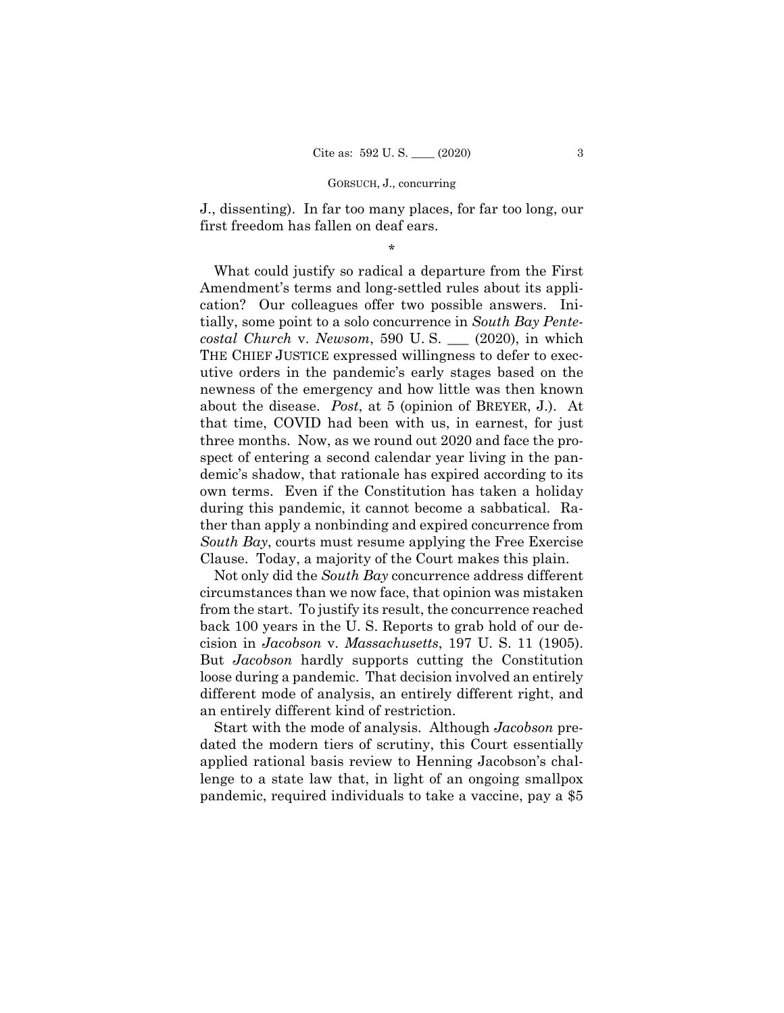J., dissenting). In far too many places, for far too long, our first freedom has fallen on deaf ears.

\*

What could justify so radical a departure from the First Amendment's terms and long-settled rules about its application? Our colleagues offer two possible answers. Initially, some point to a solo concurrence in *South Bay Pentecostal Church* v. *Newsom*, 590 U. S. \_\_\_ (2020), in which THE CHIEF JUSTICE expressed willingness to defer to executive orders in the pandemic's early stages based on the newness of the emergency and how little was then known about the disease. *Post*, at 5 (opinion of BREYER, J.). At that time, COVID had been with us, in earnest, for just three months. Now, as we round out 2020 and face the prospect of entering a second calendar year living in the pandemic's shadow, that rationale has expired according to its own terms. Even if the Constitution has taken a holiday during this pandemic, it cannot become a sabbatical. Rather than apply a nonbinding and expired concurrence from *South Bay*, courts must resume applying the Free Exercise Clause. Today, a majority of the Court makes this plain.

Not only did the *South Bay* concurrence address different circumstances than we now face, that opinion was mistaken from the start. To justify its result, the concurrence reached back 100 years in the U. S. Reports to grab hold of our decision in *Jacobson* v. *Massachusetts*, 197 U. S. 11 (1905). But *Jacobson* hardly supports cutting the Constitution loose during a pandemic. That decision involved an entirely different mode of analysis, an entirely different right, and an entirely different kind of restriction.

Start with the mode of analysis. Although *Jacobson* predated the modern tiers of scrutiny, this Court essentially applied rational basis review to Henning Jacobson's challenge to a state law that, in light of an ongoing smallpox pandemic, required individuals to take a vaccine, pay a \$5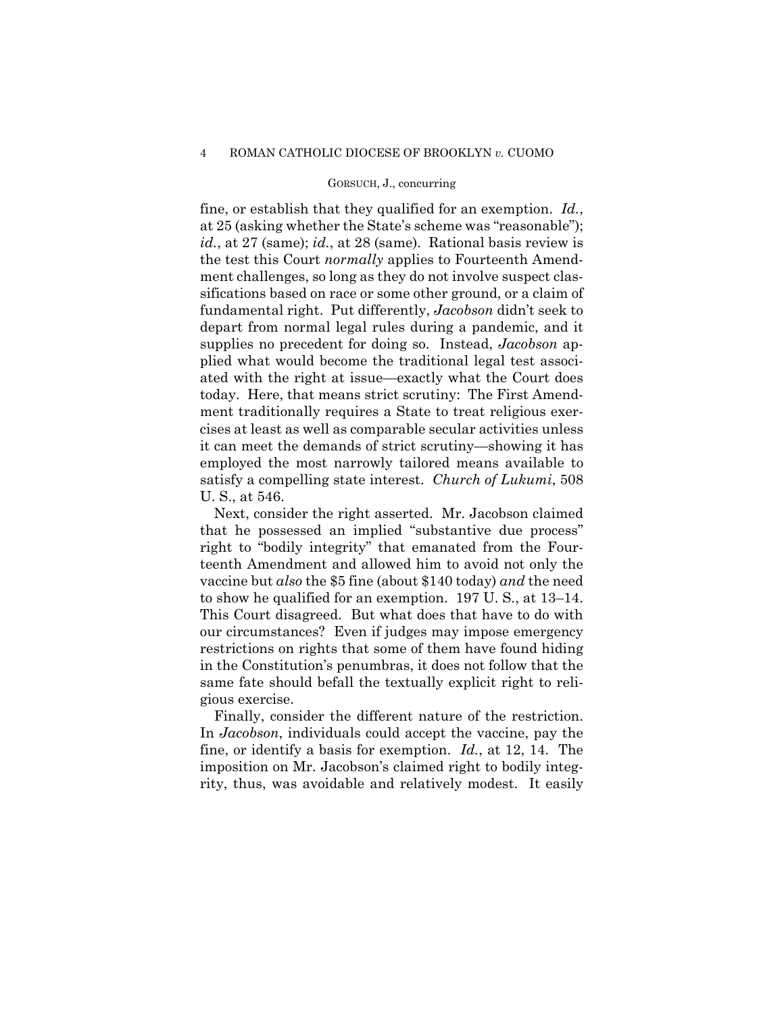#### 4 ROMAN CATHOLIC DIOCESE OF BROOKLYN *v.* CUOMO

### GORSUCH, J., concurring

fine, or establish that they qualified for an exemption. *Id.*, at 25 (asking whether the State's scheme was "reasonable"); *id.*, at 27 (same); *id.*, at 28 (same). Rational basis review is the test this Court *normally* applies to Fourteenth Amendment challenges, so long as they do not involve suspect classifications based on race or some other ground, or a claim of fundamental right. Put differently, *Jacobson* didn't seek to depart from normal legal rules during a pandemic, and it supplies no precedent for doing so. Instead, *Jacobson* applied what would become the traditional legal test associated with the right at issue—exactly what the Court does today. Here, that means strict scrutiny: The First Amendment traditionally requires a State to treat religious exercises at least as well as comparable secular activities unless it can meet the demands of strict scrutiny—showing it has employed the most narrowly tailored means available to satisfy a compelling state interest. *Church of Lukumi*, 508 U. S., at 546.

Next, consider the right asserted. Mr. Jacobson claimed that he possessed an implied "substantive due process" right to "bodily integrity" that emanated from the Fourteenth Amendment and allowed him to avoid not only the vaccine but *also* the \$5 fine (about \$140 today) *and* the need to show he qualified for an exemption. 197 U. S., at 13–14. This Court disagreed. But what does that have to do with our circumstances? Even if judges may impose emergency restrictions on rights that some of them have found hiding in the Constitution's penumbras, it does not follow that the same fate should befall the textually explicit right to religious exercise.

 Finally, consider the different nature of the restriction. In *Jacobson*, individuals could accept the vaccine, pay the fine, or identify a basis for exemption. *Id.*, at 12, 14. The imposition on Mr. Jacobson's claimed right to bodily integrity, thus, was avoidable and relatively modest. It easily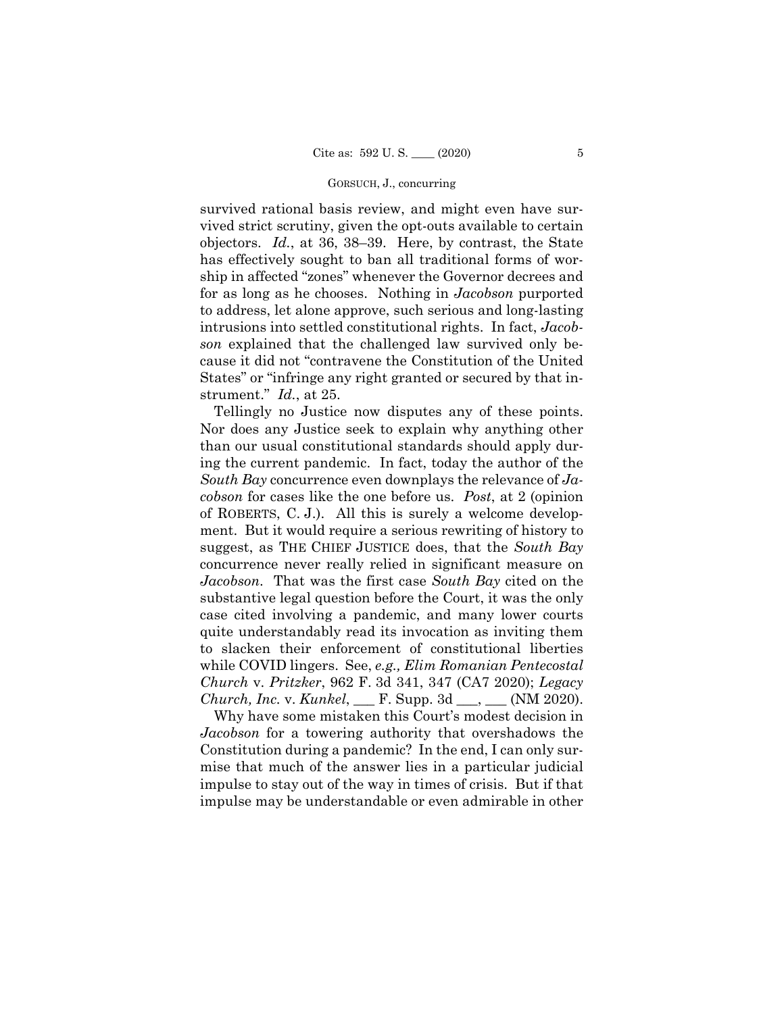survived rational basis review, and might even have survived strict scrutiny, given the opt-outs available to certain objectors. *Id.*, at 36, 38–39. Here, by contrast, the State has effectively sought to ban all traditional forms of worship in affected "zones" whenever the Governor decrees and for as long as he chooses. Nothing in *Jacobson* purported to address, let alone approve, such serious and long-lasting intrusions into settled constitutional rights. In fact, *Jacobson* explained that the challenged law survived only because it did not "contravene the Constitution of the United States" or "infringe any right granted or secured by that instrument." *Id.*, at 25.

Tellingly no Justice now disputes any of these points. Nor does any Justice seek to explain why anything other than our usual constitutional standards should apply during the current pandemic. In fact, today the author of the *South Bay* concurrence even downplays the relevance of *Jacobson* for cases like the one before us. *Post*, at 2 (opinion of ROBERTS, C. J.). All this is surely a welcome development. But it would require a serious rewriting of history to suggest, as THE CHIEF JUSTICE does, that the *South Bay*  concurrence never really relied in significant measure on *Jacobson*. That was the first case *South Bay* cited on the substantive legal question before the Court, it was the only case cited involving a pandemic, and many lower courts quite understandably read its invocation as inviting them to slacken their enforcement of constitutional liberties while COVID lingers. See, *e.g., Elim Romanian Pentecostal Church* v. *Pritzker*, 962 F. 3d 341, 347 (CA7 2020); *Legacy Church, Inc.* v. *Kunkel*, \_\_\_ F. Supp. 3d \_\_\_, \_\_\_ (NM 2020).

Why have some mistaken this Court's modest decision in *Jacobson* for a towering authority that overshadows the Constitution during a pandemic? In the end, I can only surmise that much of the answer lies in a particular judicial impulse to stay out of the way in times of crisis. But if that impulse may be understandable or even admirable in other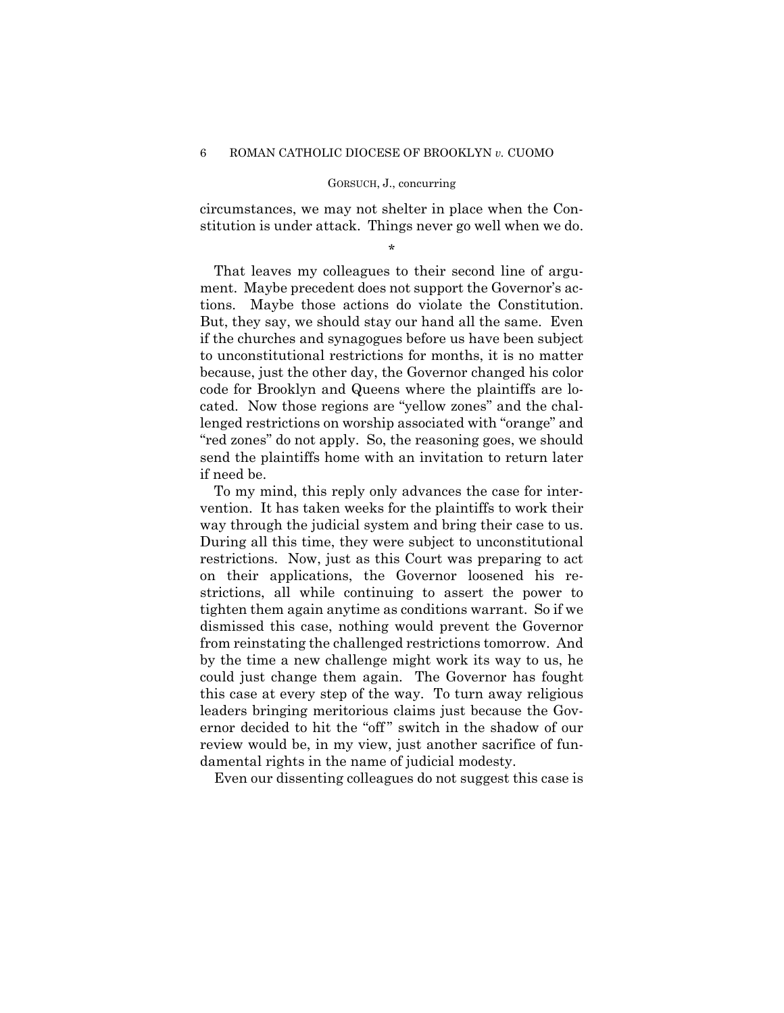circumstances, we may not shelter in place when the Constitution is under attack. Things never go well when we do.

\*

 tions. Maybe those actions do violate the Constitution. That leaves my colleagues to their second line of argument. Maybe precedent does not support the Governor's ac-But, they say, we should stay our hand all the same. Even if the churches and synagogues before us have been subject to unconstitutional restrictions for months, it is no matter because, just the other day, the Governor changed his color code for Brooklyn and Queens where the plaintiffs are located. Now those regions are "yellow zones" and the challenged restrictions on worship associated with "orange" and "red zones" do not apply. So, the reasoning goes, we should send the plaintiffs home with an invitation to return later if need be.

To my mind, this reply only advances the case for intervention. It has taken weeks for the plaintiffs to work their way through the judicial system and bring their case to us. During all this time, they were subject to unconstitutional restrictions. Now, just as this Court was preparing to act on their applications, the Governor loosened his restrictions, all while continuing to assert the power to tighten them again anytime as conditions warrant. So if we dismissed this case, nothing would prevent the Governor from reinstating the challenged restrictions tomorrow. And by the time a new challenge might work its way to us, he could just change them again. The Governor has fought this case at every step of the way. To turn away religious leaders bringing meritorious claims just because the Governor decided to hit the "off" switch in the shadow of our review would be, in my view, just another sacrifice of fundamental rights in the name of judicial modesty.

Even our dissenting colleagues do not suggest this case is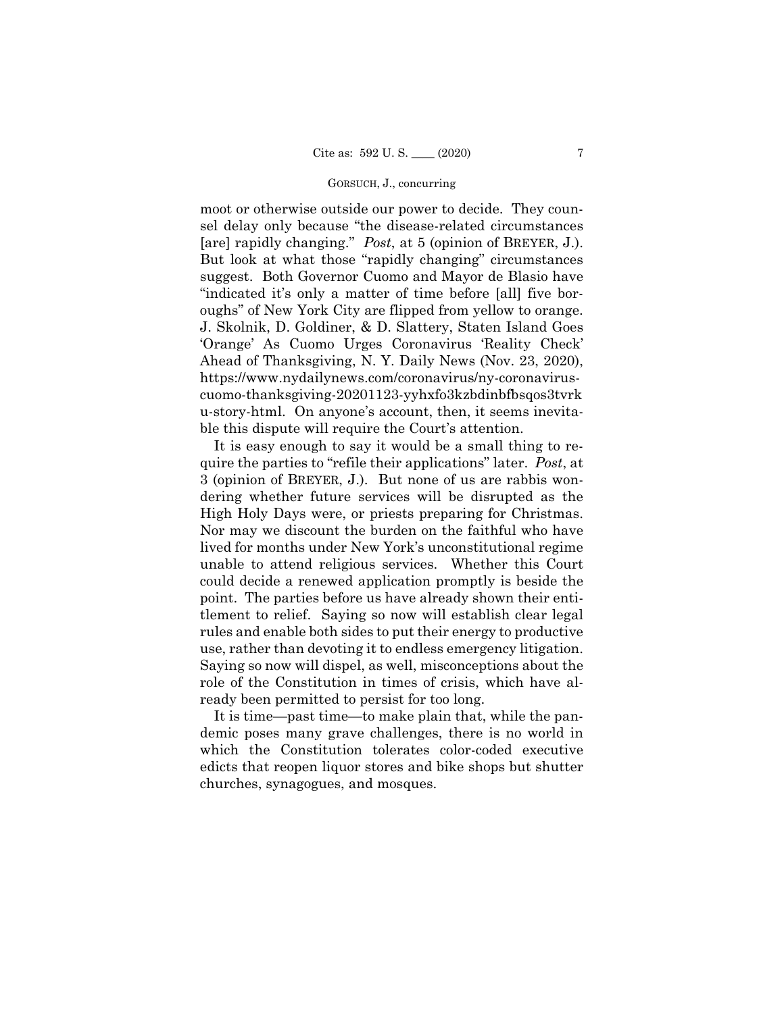moot or otherwise outside our power to decide. They counsel delay only because "the disease-related circumstances [are] rapidly changing." *Post*, at 5 (opinion of BREYER, J.). But look at what those "rapidly changing" circumstances suggest. Both Governor Cuomo and Mayor de Blasio have "indicated it's only a matter of time before [all] five boroughs" of New York City are flipped from yellow to orange. J. Skolnik, D. Goldiner, & D. Slattery, Staten Island Goes 'Orange' As Cuomo Urges Coronavirus 'Reality Check' Ahead of Thanksgiving, N. Y. Daily News (Nov. 23, 2020), <https://www.nydailynews.com/coronavirus/ny-coronavirus>cuomo-thanksgiving-20201123-yyhxfo3kzbdinbfbsqos3tvrk u-story-html. On anyone's account, then, it seems inevitable this dispute will require the Court's attention.

It is easy enough to say it would be a small thing to require the parties to "refile their applications" later. *Post*, at 3 (opinion of BREYER, J.). But none of us are rabbis wondering whether future services will be disrupted as the High Holy Days were, or priests preparing for Christmas. Nor may we discount the burden on the faithful who have lived for months under New York's unconstitutional regime unable to attend religious services. Whether this Court could decide a renewed application promptly is beside the point. The parties before us have already shown their entitlement to relief. Saying so now will establish clear legal rules and enable both sides to put their energy to productive use, rather than devoting it to endless emergency litigation. Saying so now will dispel, as well, misconceptions about the role of the Constitution in times of crisis, which have already been permitted to persist for too long.

It is time—past time—to make plain that, while the pandemic poses many grave challenges, there is no world in which the Constitution tolerates color-coded executive edicts that reopen liquor stores and bike shops but shutter churches, synagogues, and mosques.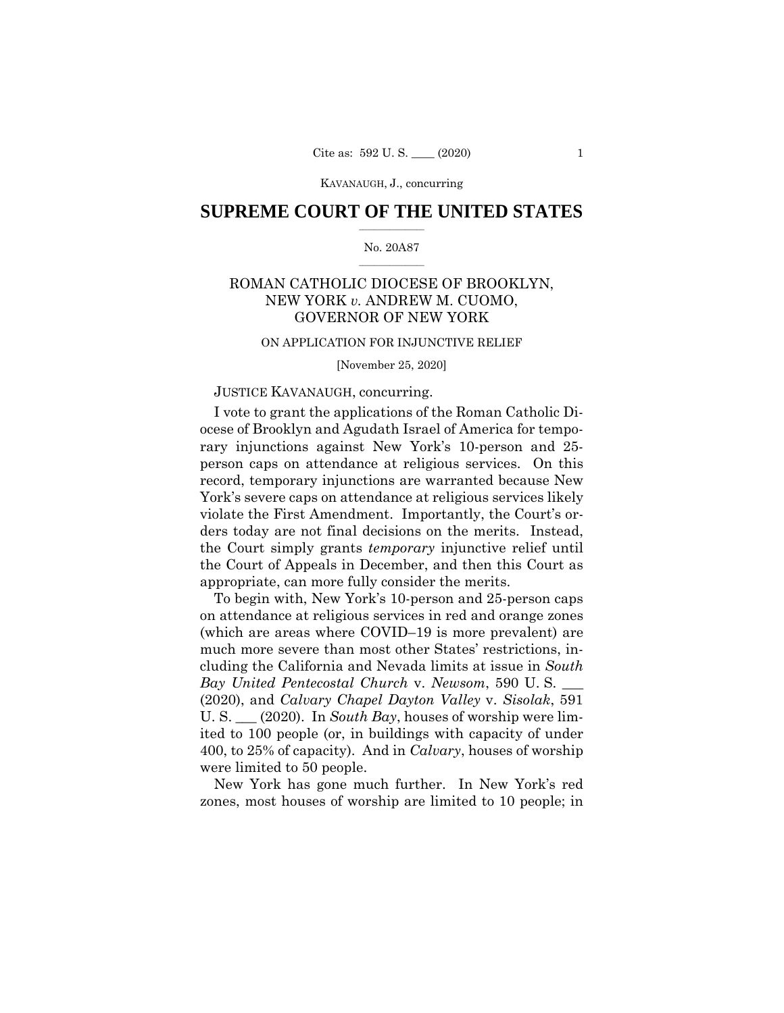## $\frac{1}{2}$  ,  $\frac{1}{2}$  ,  $\frac{1}{2}$  ,  $\frac{1}{2}$  ,  $\frac{1}{2}$  ,  $\frac{1}{2}$  ,  $\frac{1}{2}$ **SUPREME COURT OF THE UNITED STATES**

### $\frac{1}{2}$  ,  $\frac{1}{2}$  ,  $\frac{1}{2}$  ,  $\frac{1}{2}$  ,  $\frac{1}{2}$  ,  $\frac{1}{2}$ No. 20A87

# ROMAN CATHOLIC DIOCESE OF BROOKLYN, NEW YORK *v.* ANDREW M. CUOMO, GOVERNOR OF NEW YORK

#### ON APPLICATION FOR INJUNCTIVE RELIEF

[November 25, 2020]

# JUSTICE KAVANAUGH, concurring.

I vote to grant the applications of the Roman Catholic Diocese of Brooklyn and Agudath Israel of America for temporary injunctions against New York's 10-person and 25 person caps on attendance at religious services. On this record, temporary injunctions are warranted because New York's severe caps on attendance at religious services likely violate the First Amendment. Importantly, the Court's orders today are not final decisions on the merits. Instead, the Court simply grants *temporary* injunctive relief until the Court of Appeals in December, and then this Court as appropriate, can more fully consider the merits.

To begin with, New York's 10-person and 25-person caps on attendance at religious services in red and orange zones (which are areas where COVID–19 is more prevalent) are much more severe than most other States' restrictions, including the California and Nevada limits at issue in *South Bay United Pentecostal Church* v. *Newsom*, 590 U. S. \_\_\_ (2020), and *Calvary Chapel Dayton Valley* v. *Sisolak*, 591 U. S. \_\_\_ (2020). In *South Bay*, houses of worship were limited to 100 people (or, in buildings with capacity of under 400, to 25% of capacity). And in *Calvary*, houses of worship were limited to 50 people.

New York has gone much further. In New York's red zones, most houses of worship are limited to 10 people; in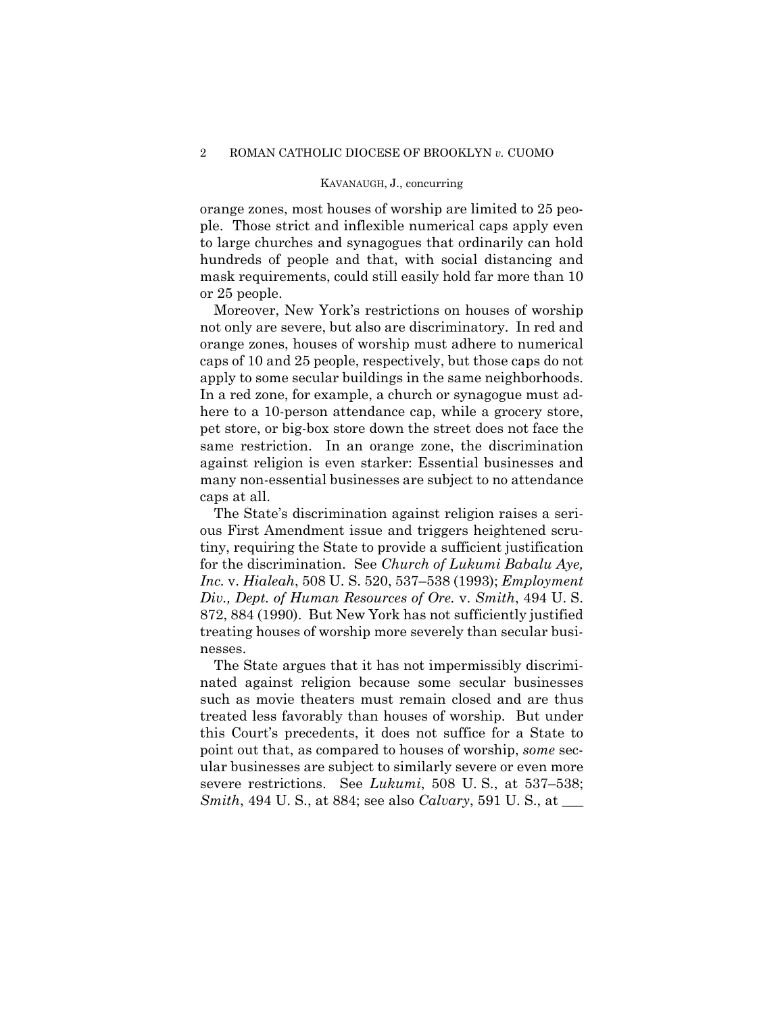orange zones, most houses of worship are limited to 25 people. Those strict and inflexible numerical caps apply even to large churches and synagogues that ordinarily can hold hundreds of people and that, with social distancing and mask requirements, could still easily hold far more than 10 or 25 people.

Moreover, New York's restrictions on houses of worship not only are severe, but also are discriminatory. In red and orange zones, houses of worship must adhere to numerical caps of 10 and 25 people, respectively, but those caps do not apply to some secular buildings in the same neighborhoods. In a red zone, for example, a church or synagogue must adhere to a 10-person attendance cap, while a grocery store, pet store, or big-box store down the street does not face the same restriction. In an orange zone, the discrimination against religion is even starker: Essential businesses and many non-essential businesses are subject to no attendance caps at all.

The State's discrimination against religion raises a serious First Amendment issue and triggers heightened scrutiny, requiring the State to provide a sufficient justification for the discrimination. See *Church of Lukumi Babalu Aye, Inc.* v. *Hialeah*, 508 U. S. 520, 537–538 (1993); *Employment Div., Dept. of Human Resources of Ore.* v. *Smith*, 494 U. S. 872, 884 (1990). But New York has not sufficiently justified treating houses of worship more severely than secular businesses.

The State argues that it has not impermissibly discriminated against religion because some secular businesses such as movie theaters must remain closed and are thus treated less favorably than houses of worship. But under this Court's precedents, it does not suffice for a State to point out that, as compared to houses of worship, *some* secular businesses are subject to similarly severe or even more severe restrictions. See *Lukumi*, 508 U. S., at 537–538; *Smith*, 494 U. S., at 884; see also *Calvary*, 591 U. S., at \_\_\_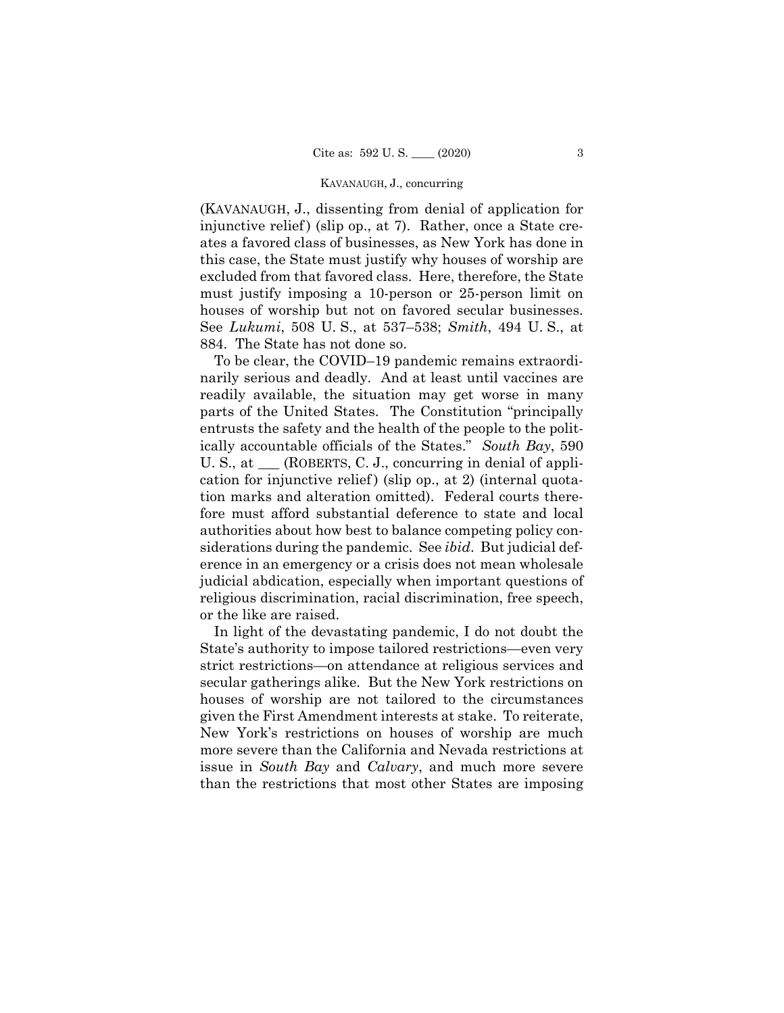(KAVANAUGH, J., dissenting from denial of application for injunctive relief) (slip op., at 7). Rather, once a State creates a favored class of businesses, as New York has done in this case, the State must justify why houses of worship are excluded from that favored class. Here, therefore, the State must justify imposing a 10-person or 25-person limit on houses of worship but not on favored secular businesses. See *Lukumi*, 508 U. S., at 537–538; *Smith*, 494 U. S., at 884. The State has not done so.

To be clear, the COVID–19 pandemic remains extraordinarily serious and deadly. And at least until vaccines are readily available, the situation may get worse in many parts of the United States. The Constitution "principally entrusts the safety and the health of the people to the politically accountable officials of the States." *South Bay*, 590 U. S., at  $\_\_\_\$ (ROBERTS, C. J., concurring in denial of application for injunctive relief) (slip op., at 2) (internal quotation marks and alteration omitted). Federal courts therefore must afford substantial deference to state and local authorities about how best to balance competing policy considerations during the pandemic. See *ibid*. But judicial deference in an emergency or a crisis does not mean wholesale judicial abdication, especially when important questions of religious discrimination, racial discrimination, free speech, or the like are raised.

In light of the devastating pandemic, I do not doubt the State's authority to impose tailored restrictions—even very strict restrictions—on attendance at religious services and secular gatherings alike. But the New York restrictions on houses of worship are not tailored to the circumstances given the First Amendment interests at stake. To reiterate, New York's restrictions on houses of worship are much more severe than the California and Nevada restrictions at issue in *South Bay* and *Calvary*, and much more severe than the restrictions that most other States are imposing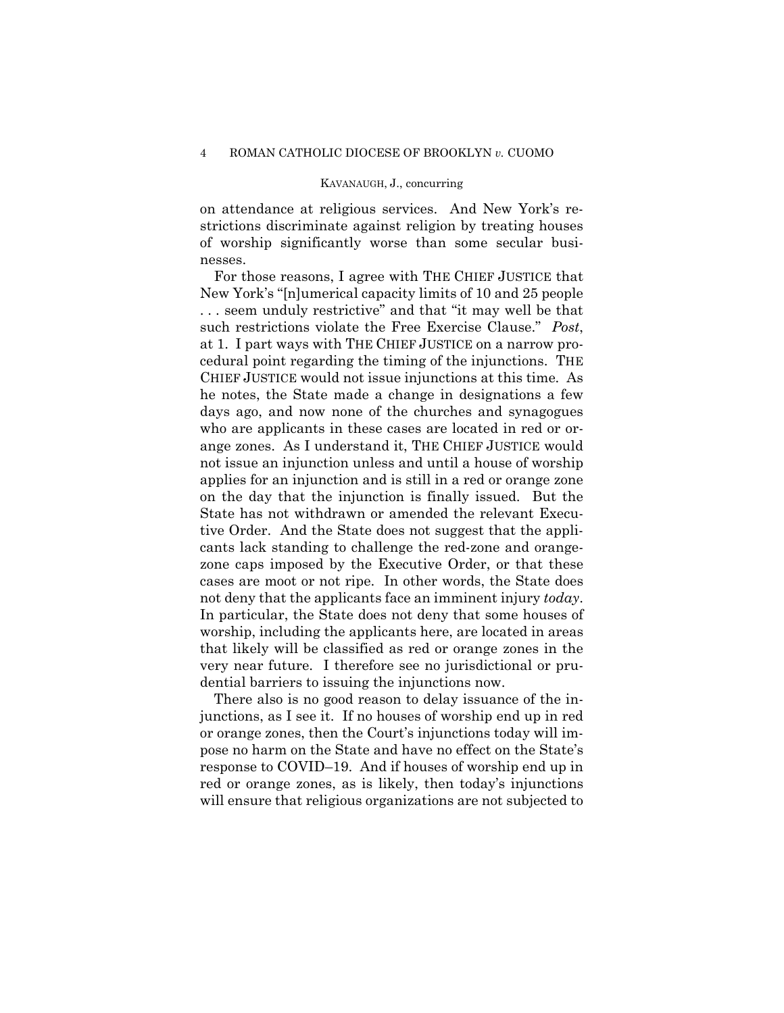on attendance at religious services. And New York's restrictions discriminate against religion by treating houses of worship significantly worse than some secular businesses.

For those reasons, I agree with THE CHIEF JUSTICE that New York's "[n]umerical capacity limits of 10 and 25 people . . . seem unduly restrictive" and that "it may well be that such restrictions violate the Free Exercise Clause." *Post*, at 1. I part ways with THE CHIEF JUSTICE on a narrow procedural point regarding the timing of the injunctions. THE CHIEF JUSTICE would not issue injunctions at this time*.* As he notes, the State made a change in designations a few days ago, and now none of the churches and synagogues who are applicants in these cases are located in red or orange zones. As I understand it, THE CHIEF JUSTICE would not issue an injunction unless and until a house of worship applies for an injunction and is still in a red or orange zone on the day that the injunction is finally issued. But the State has not withdrawn or amended the relevant Executive Order. And the State does not suggest that the applicants lack standing to challenge the red-zone and orangezone caps imposed by the Executive Order, or that these cases are moot or not ripe. In other words, the State does not deny that the applicants face an imminent injury *today*. In particular, the State does not deny that some houses of worship, including the applicants here, are located in areas that likely will be classified as red or orange zones in the very near future. I therefore see no jurisdictional or prudential barriers to issuing the injunctions now.

There also is no good reason to delay issuance of the injunctions, as I see it. If no houses of worship end up in red or orange zones, then the Court's injunctions today will impose no harm on the State and have no effect on the State's response to COVID–19. And if houses of worship end up in red or orange zones, as is likely, then today's injunctions will ensure that religious organizations are not subjected to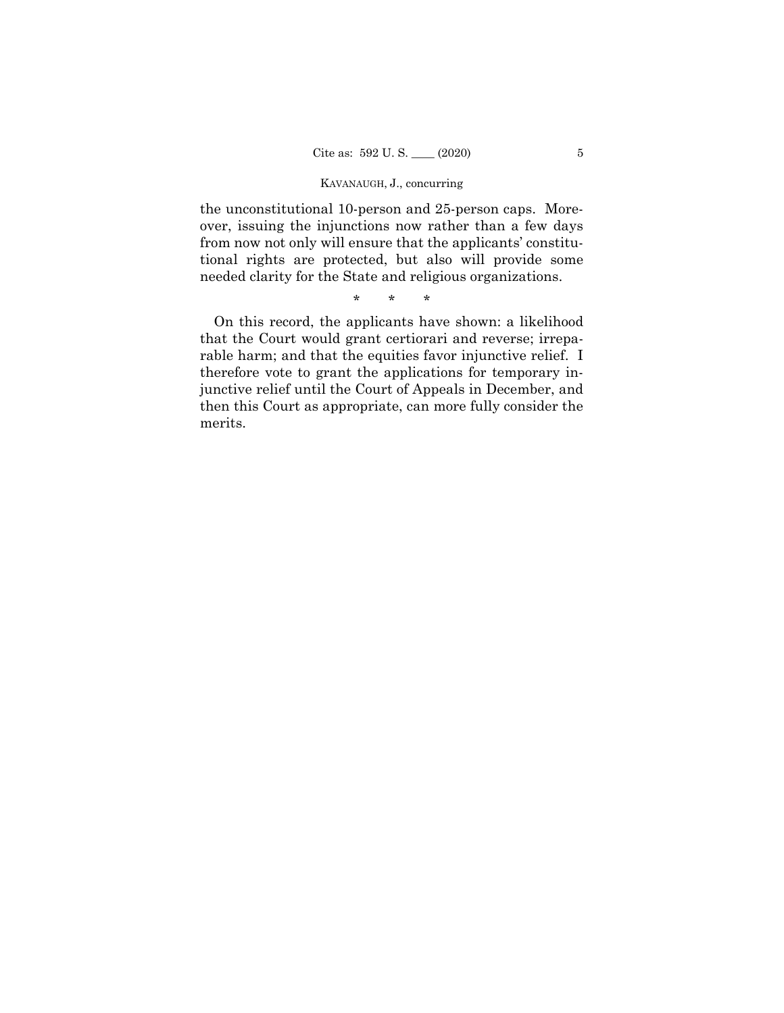the unconstitutional 10-person and 25-person caps. Moreover, issuing the injunctions now rather than a few days from now not only will ensure that the applicants' constitutional rights are protected, but also will provide some needed clarity for the State and religious organizations.

\* \* \*

On this record, the applicants have shown: a likelihood that the Court would grant certiorari and reverse; irreparable harm; and that the equities favor injunctive relief. I therefore vote to grant the applications for temporary injunctive relief until the Court of Appeals in December, and then this Court as appropriate, can more fully consider the merits.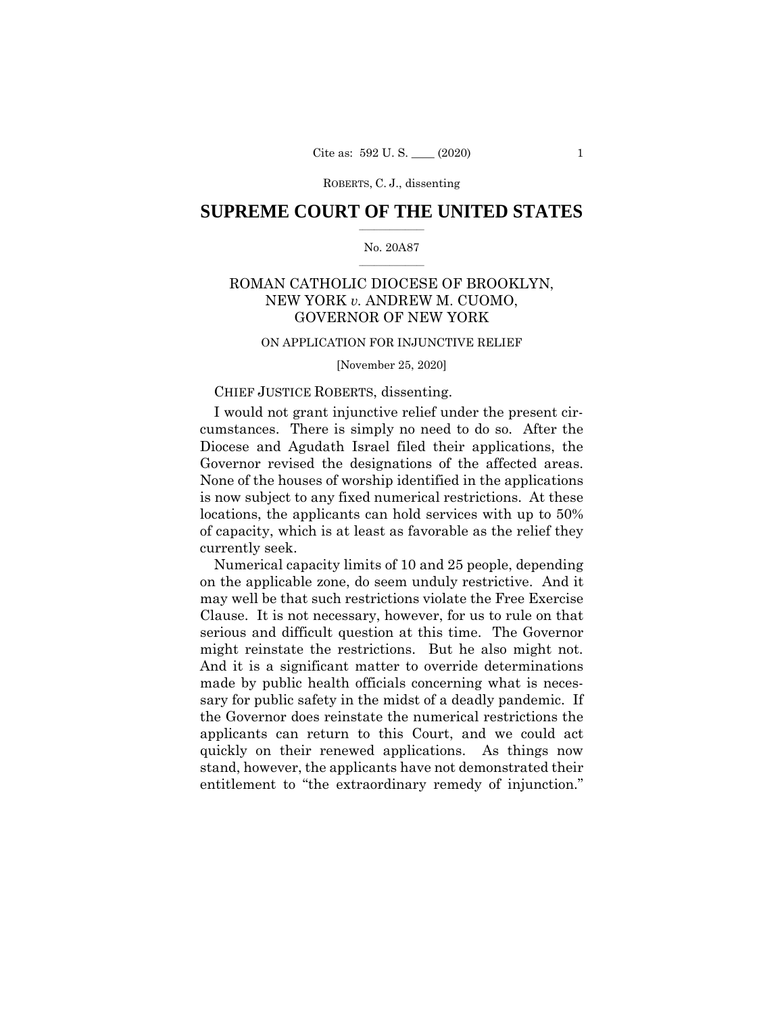ROBERTS, C. J., dissenting

# $\frac{1}{2}$  ,  $\frac{1}{2}$  ,  $\frac{1}{2}$  ,  $\frac{1}{2}$  ,  $\frac{1}{2}$  ,  $\frac{1}{2}$  ,  $\frac{1}{2}$ **SUPREME COURT OF THE UNITED STATES**

## $\frac{1}{2}$  ,  $\frac{1}{2}$  ,  $\frac{1}{2}$  ,  $\frac{1}{2}$  ,  $\frac{1}{2}$  ,  $\frac{1}{2}$ No. 20A87

# ROMAN CATHOLIC DIOCESE OF BROOKLYN, NEW YORK *v.* ANDREW M. CUOMO, GOVERNOR OF NEW YORK

# ON APPLICATION FOR INJUNCTIVE RELIEF

[November 25, 2020]

## CHIEF JUSTICE ROBERTS, dissenting.

I would not grant injunctive relief under the present circumstances. There is simply no need to do so. After the Diocese and Agudath Israel filed their applications, the Governor revised the designations of the affected areas. None of the houses of worship identified in the applications is now subject to any fixed numerical restrictions. At these locations, the applicants can hold services with up to 50% of capacity, which is at least as favorable as the relief they currently seek.

 might reinstate the restrictions. But he also might not. entitlement to "the extraordinary remedy of injunction." Numerical capacity limits of 10 and 25 people, depending on the applicable zone, do seem unduly restrictive. And it may well be that such restrictions violate the Free Exercise Clause. It is not necessary, however, for us to rule on that serious and difficult question at this time. The Governor And it is a significant matter to override determinations made by public health officials concerning what is necessary for public safety in the midst of a deadly pandemic. If the Governor does reinstate the numerical restrictions the applicants can return to this Court, and we could act quickly on their renewed applications. As things now stand, however, the applicants have not demonstrated their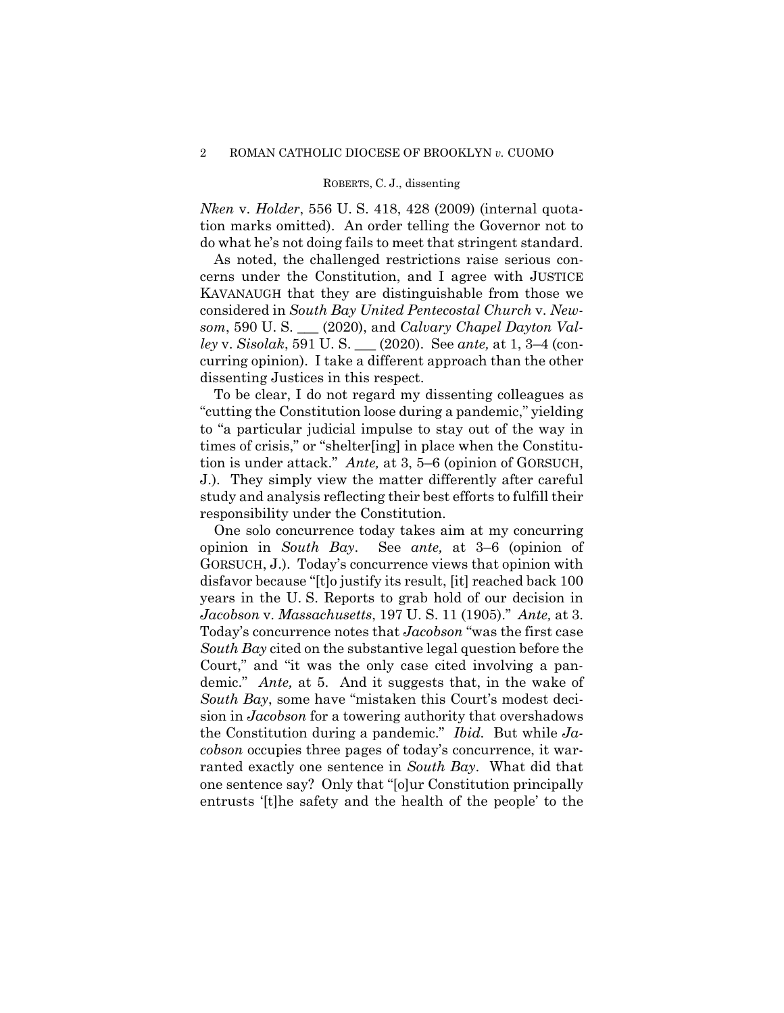#### ROBERTS, C. J., dissenting

*Nken* v. *Holder*, 556 U. S. 418, 428 (2009) (internal quotation marks omitted). An order telling the Governor not to do what he's not doing fails to meet that stringent standard.

As noted, the challenged restrictions raise serious concerns under the Constitution, and I agree with JUSTICE KAVANAUGH that they are distinguishable from those we considered in *South Bay United Pentecostal Church* v. *Newsom*, 590 U. S. \_\_\_ (2020), and *Calvary Chapel Dayton Valley* v. *Sisolak*, 591 U. S. \_\_\_ (2020). See *ante,* at 1, 3–4 (concurring opinion). I take a different approach than the other dissenting Justices in this respect.

 tion is under attack." *Ante,* at 3, 5–6 (opinion of GORSUCH, To be clear, I do not regard my dissenting colleagues as "cutting the Constitution loose during a pandemic," yielding to "a particular judicial impulse to stay out of the way in times of crisis," or "shelter[ing] in place when the Constitu-J.). They simply view the matter differently after careful study and analysis reflecting their best efforts to fulfill their responsibility under the Constitution.

 *Jacobson* v. *Massachusetts*, 197 U. S. 11 (1905)." *Ante,* at 3. the Constitution during a pandemic." *Ibid.* But while *Ja-*One solo concurrence today takes aim at my concurring opinion in *South Bay*. See *ante,* at 3–6 (opinion of GORSUCH, J.). Today's concurrence views that opinion with disfavor because "[t]o justify its result, [it] reached back 100 years in the U. S. Reports to grab hold of our decision in Today's concurrence notes that *Jacobson* "was the first case *South Bay* cited on the substantive legal question before the Court," and "it was the only case cited involving a pandemic." *Ante,* at 5. And it suggests that, in the wake of *South Bay*, some have "mistaken this Court's modest decision in *Jacobson* for a towering authority that overshadows *cobson* occupies three pages of today's concurrence, it warranted exactly one sentence in *South Bay*. What did that one sentence say? Only that "[o]ur Constitution principally entrusts '[t]he safety and the health of the people' to the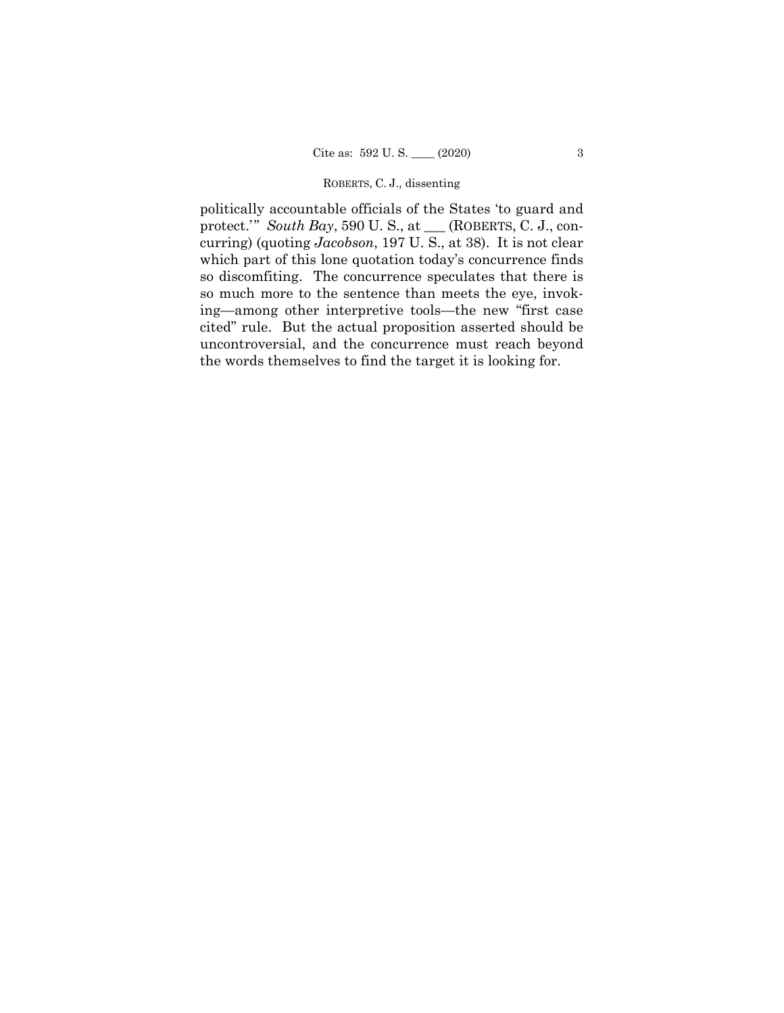#### ROBERTS, C. J., dissenting

politically accountable officials of the States 'to guard and protect.'" *South Bay*, 590 U. S., at \_\_\_ (ROBERTS, C. J., concurring) (quoting *Jacobson*, 197 U. S., at 38). It is not clear which part of this lone quotation today's concurrence finds so discomfiting. The concurrence speculates that there is so much more to the sentence than meets the eye, invoking—among other interpretive tools—the new "first case cited" rule. But the actual proposition asserted should be uncontroversial, and the concurrence must reach beyond the words themselves to find the target it is looking for.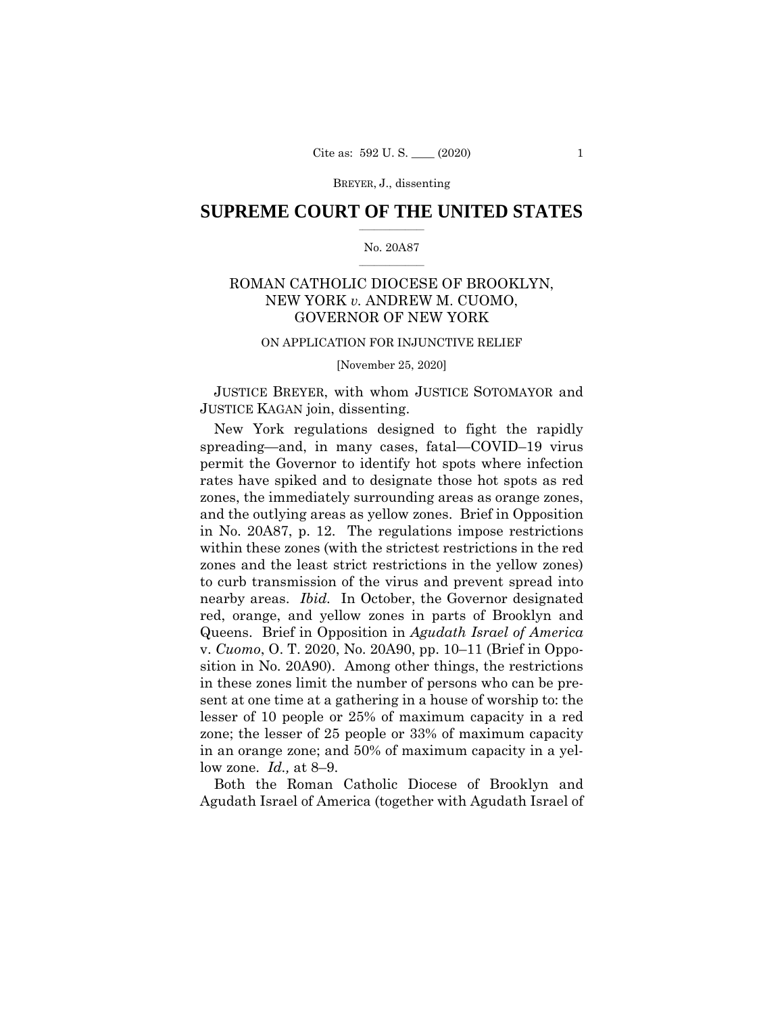## $\frac{1}{2}$  ,  $\frac{1}{2}$  ,  $\frac{1}{2}$  ,  $\frac{1}{2}$  ,  $\frac{1}{2}$  ,  $\frac{1}{2}$  ,  $\frac{1}{2}$ **SUPREME COURT OF THE UNITED STATES**

### $\frac{1}{2}$  ,  $\frac{1}{2}$  ,  $\frac{1}{2}$  ,  $\frac{1}{2}$  ,  $\frac{1}{2}$  ,  $\frac{1}{2}$ No. 20A87

# ROMAN CATHOLIC DIOCESE OF BROOKLYN, NEW YORK *v.* ANDREW M. CUOMO, GOVERNOR OF NEW YORK

#### ON APPLICATION FOR INJUNCTIVE RELIEF

[November 25, 2020]

 JUSTICE BREYER, with whom JUSTICE SOTOMAYOR and JUSTICE KAGAN join, dissenting.

New York regulations designed to fight the rapidly spreading—and, in many cases, fatal—COVID–19 virus permit the Governor to identify hot spots where infection rates have spiked and to designate those hot spots as red zones, the immediately surrounding areas as orange zones, and the outlying areas as yellow zones. Brief in Opposition in No. 20A87, p. 12. The regulations impose restrictions within these zones (with the strictest restrictions in the red zones and the least strict restrictions in the yellow zones) to curb transmission of the virus and prevent spread into nearby areas. *Ibid.* In October, the Governor designated red, orange, and yellow zones in parts of Brooklyn and Queens. Brief in Opposition in *Agudath Israel of America*  v. *Cuomo*, O. T. 2020, No. 20A90, pp. 10–11 (Brief in Opposition in No. 20A90). Among other things, the restrictions in these zones limit the number of persons who can be present at one time at a gathering in a house of worship to: the lesser of 10 people or 25% of maximum capacity in a red zone; the lesser of 25 people or 33% of maximum capacity in an orange zone; and 50% of maximum capacity in a yellow zone. *Id.,* at 8–9.

Both the Roman Catholic Diocese of Brooklyn and Agudath Israel of America (together with Agudath Israel of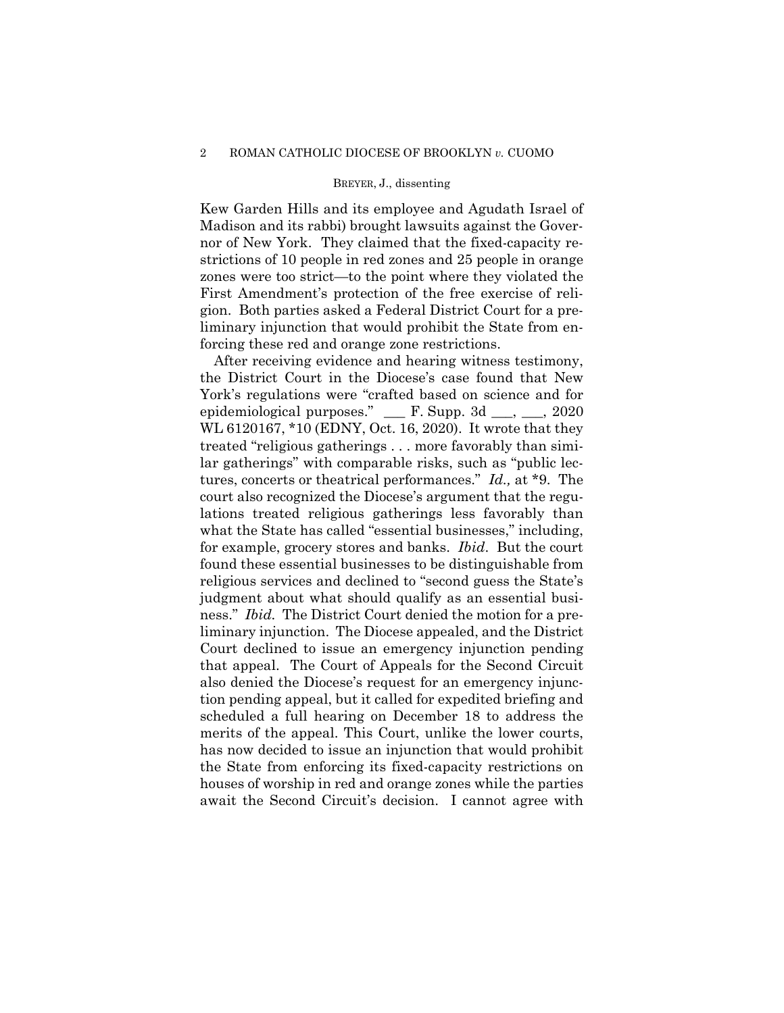Kew Garden Hills and its employee and Agudath Israel of Madison and its rabbi) brought lawsuits against the Governor of New York. They claimed that the fixed-capacity restrictions of 10 people in red zones and 25 people in orange zones were too strict—to the point where they violated the First Amendment's protection of the free exercise of religion. Both parties asked a Federal District Court for a preliminary injunction that would prohibit the State from enforcing these red and orange zone restrictions.

After receiving evidence and hearing witness testimony, the District Court in the Diocese's case found that New York's regulations were "crafted based on science and for epidemiological purposes." \_\_\_ F. Supp. 3d \_\_\_, \_\_\_, 2020 WL 6120167, \*10 (EDNY, Oct. 16, 2020). It wrote that they treated "religious gatherings . . . more favorably than similar gatherings" with comparable risks, such as "public lectures, concerts or theatrical performances." *Id.,* at \*9. The court also recognized the Diocese's argument that the regulations treated religious gatherings less favorably than what the State has called "essential businesses," including, for example, grocery stores and banks. *Ibid*. But the court found these essential businesses to be distinguishable from religious services and declined to "second guess the State's judgment about what should qualify as an essential business." *Ibid.* The District Court denied the motion for a preliminary injunction. The Diocese appealed, and the District Court declined to issue an emergency injunction pending that appeal. The Court of Appeals for the Second Circuit also denied the Diocese's request for an emergency injunction pending appeal, but it called for expedited briefing and scheduled a full hearing on December 18 to address the merits of the appeal. This Court, unlike the lower courts, has now decided to issue an injunction that would prohibit the State from enforcing its fixed-capacity restrictions on houses of worship in red and orange zones while the parties await the Second Circuit's decision. I cannot agree with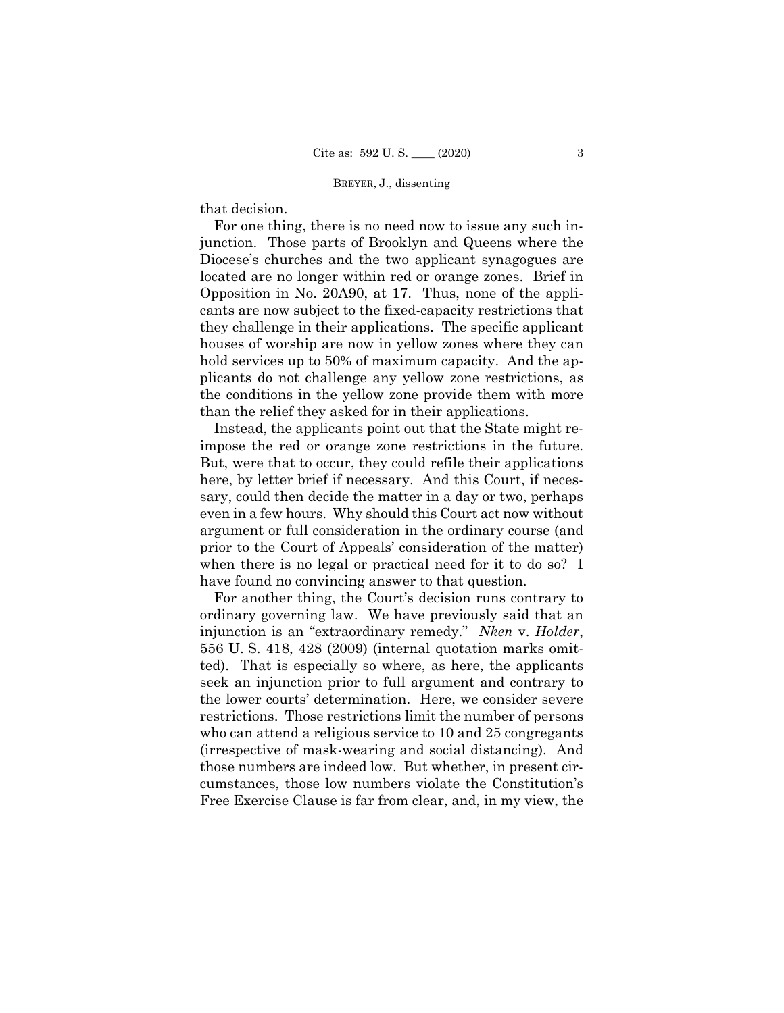that decision.

For one thing, there is no need now to issue any such injunction. Those parts of Brooklyn and Queens where the Diocese's churches and the two applicant synagogues are located are no longer within red or orange zones. Brief in Opposition in No. 20A90, at 17. Thus, none of the applicants are now subject to the fixed-capacity restrictions that they challenge in their applications. The specific applicant houses of worship are now in yellow zones where they can hold services up to 50% of maximum capacity. And the applicants do not challenge any yellow zone restrictions, as the conditions in the yellow zone provide them with more than the relief they asked for in their applications.

Instead, the applicants point out that the State might reimpose the red or orange zone restrictions in the future. But, were that to occur, they could refile their applications here, by letter brief if necessary. And this Court, if necessary, could then decide the matter in a day or two, perhaps even in a few hours. Why should this Court act now without argument or full consideration in the ordinary course (and prior to the Court of Appeals' consideration of the matter) when there is no legal or practical need for it to do so? I have found no convincing answer to that question.

 the lower courts' determination. Here, we consider severe For another thing, the Court's decision runs contrary to ordinary governing law. We have previously said that an injunction is an "extraordinary remedy." *Nken* v. *Holder*, 556 U. S. 418, 428 (2009) (internal quotation marks omitted). That is especially so where, as here, the applicants seek an injunction prior to full argument and contrary to restrictions. Those restrictions limit the number of persons who can attend a religious service to 10 and 25 congregants (irrespective of mask-wearing and social distancing). And those numbers are indeed low. But whether, in present circumstances, those low numbers violate the Constitution's Free Exercise Clause is far from clear, and, in my view, the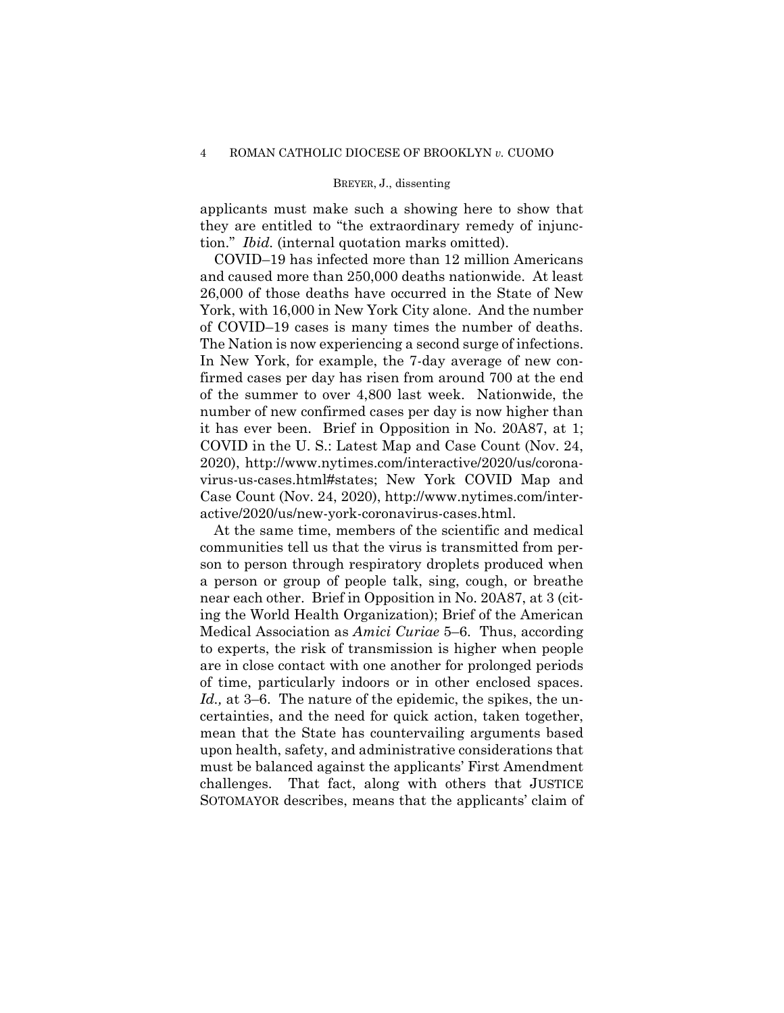applicants must make such a showing here to show that they are entitled to "the extraordinary remedy of injunction." *Ibid.* (internal quotation marks omitted).

 of COVID–19 cases is many times the number of deaths. COVID–19 has infected more than 12 million Americans and caused more than 250,000 deaths nationwide. At least 26,000 of those deaths have occurred in the State of New York, with 16,000 in New York City alone. And the number The Nation is now experiencing a second surge of infections. In New York, for example, the 7-day average of new confirmed cases per day has risen from around 700 at the end of the summer to over 4,800 last week. Nationwide, the number of new confirmed cases per day is now higher than it has ever been. Brief in Opposition in No. 20A87, at 1; COVID in the U. S.: Latest Map and Case Count (Nov. 24, 2020), <http://www.nytimes.com/interactive/2020/us/corona>virus-us-cases.html#states; New York COVID Map and Case Count (Nov. 24, 2020), <http://www.nytimes.com/inter>active/2020/us/new-york-coronavirus-cases.html.

At the same time, members of the scientific and medical communities tell us that the virus is transmitted from person to person through respiratory droplets produced when a person or group of people talk, sing, cough, or breathe near each other. Brief in Opposition in No. 20A87, at 3 (citing the World Health Organization); Brief of the American Medical Association as *Amici Curiae* 5–6. Thus, according to experts, the risk of transmission is higher when people are in close contact with one another for prolonged periods of time, particularly indoors or in other enclosed spaces. *Id.,* at 3–6. The nature of the epidemic, the spikes, the uncertainties, and the need for quick action, taken together, mean that the State has countervailing arguments based upon health, safety, and administrative considerations that must be balanced against the applicants' First Amendment challenges. That fact, along with others that JUSTICE SOTOMAYOR describes, means that the applicants' claim of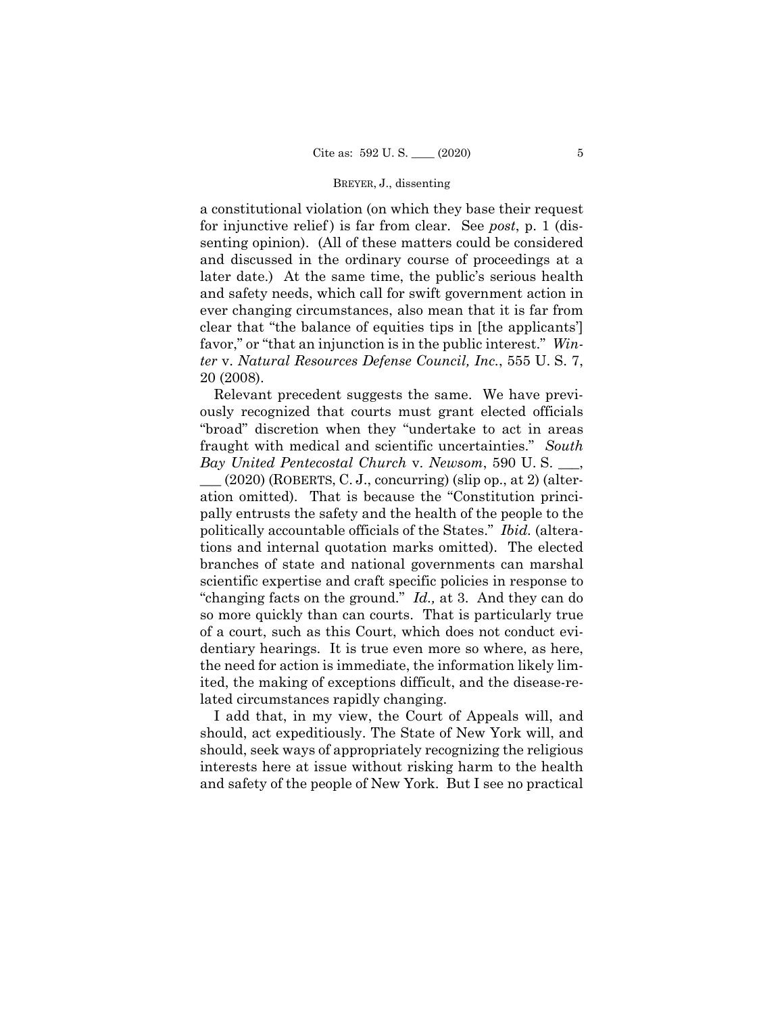a constitutional violation (on which they base their request for injunctive relief ) is far from clear. See *post*, p. 1 (dissenting opinion). (All of these matters could be considered and discussed in the ordinary course of proceedings at a later date.) At the same time, the public's serious health and safety needs, which call for swift government action in ever changing circumstances, also mean that it is far from clear that "the balance of equities tips in [the applicants'] favor," or "that an injunction is in the public interest." *Winter* v. *Natural Resources Defense Council, Inc.*, 555 U. S. 7, 20 (2008).

Relevant precedent suggests the same. We have previously recognized that courts must grant elected officials "broad" discretion when they "undertake to act in areas fraught with medical and scientific uncertainties." *South Bay United Pentecostal Church* v. *Newsom*, 590 U. S. \_\_\_,

 $\_\_$ (2020) (ROBERTS, C. J., concurring) (slip op., at 2) (alteration omitted). That is because the "Constitution principally entrusts the safety and the health of the people to the politically accountable officials of the States." *Ibid.* (alterations and internal quotation marks omitted). The elected branches of state and national governments can marshal scientific expertise and craft specific policies in response to "changing facts on the ground." *Id.,* at 3. And they can do so more quickly than can courts. That is particularly true of a court, such as this Court, which does not conduct evidentiary hearings. It is true even more so where, as here, the need for action is immediate, the information likely limited, the making of exceptions difficult, and the disease-related circumstances rapidly changing.

I add that, in my view, the Court of Appeals will, and should, act expeditiously. The State of New York will, and should, seek ways of appropriately recognizing the religious interests here at issue without risking harm to the health and safety of the people of New York. But I see no practical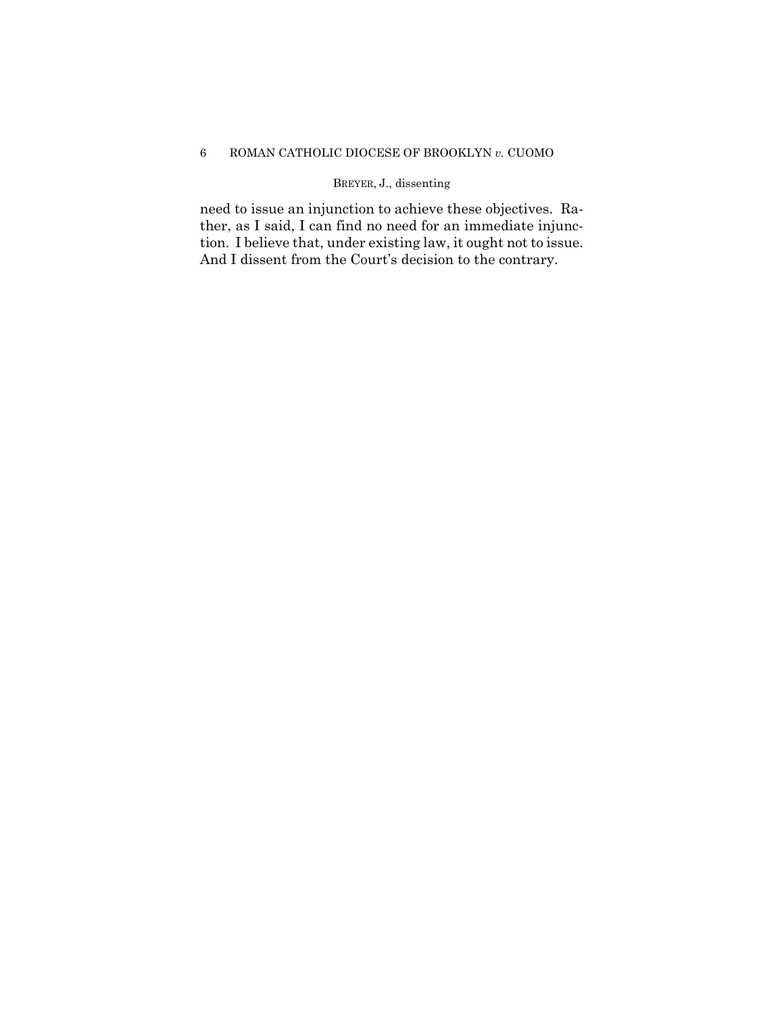# 6 ROMAN CATHOLIC DIOCESE OF BROOKLYN *v.* CUOMO

# BREYER, J., dissenting

need to issue an injunction to achieve these objectives. Rather, as I said, I can find no need for an immediate injunction. I believe that, under existing law, it ought not to issue. And I dissent from the Court's decision to the contrary.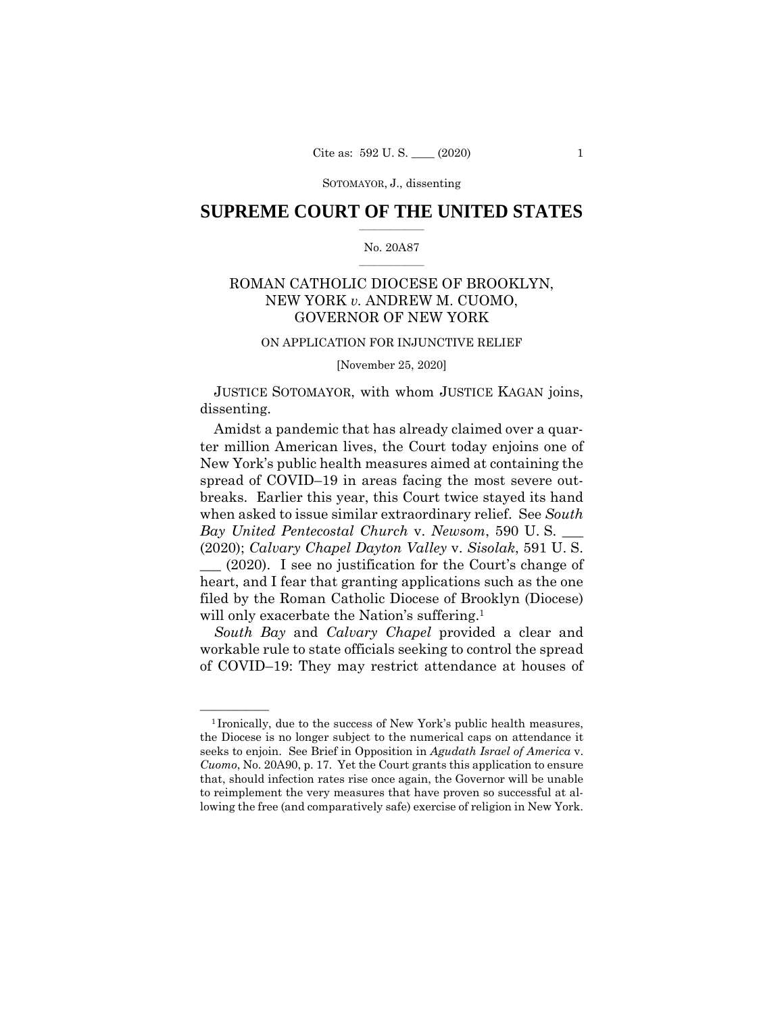## $\frac{1}{2}$  ,  $\frac{1}{2}$  ,  $\frac{1}{2}$  ,  $\frac{1}{2}$  ,  $\frac{1}{2}$  ,  $\frac{1}{2}$  ,  $\frac{1}{2}$ **SUPREME COURT OF THE UNITED STATES**

### $\frac{1}{2}$  ,  $\frac{1}{2}$  ,  $\frac{1}{2}$  ,  $\frac{1}{2}$  ,  $\frac{1}{2}$  ,  $\frac{1}{2}$ No. 20A87

# ROMAN CATHOLIC DIOCESE OF BROOKLYN, NEW YORK *v.* ANDREW M. CUOMO, GOVERNOR OF NEW YORK

### ON APPLICATION FOR INJUNCTIVE RELIEF

[November 25, 2020]

 JUSTICE SOTOMAYOR, with whom JUSTICE KAGAN joins, dissenting.

Amidst a pandemic that has already claimed over a quarter million American lives, the Court today enjoins one of New York's public health measures aimed at containing the spread of COVID–19 in areas facing the most severe outbreaks. Earlier this year, this Court twice stayed its hand when asked to issue similar extraordinary relief. See *South Bay United Pentecostal Church* v. *Newsom*, 590 U. S. \_\_\_ (2020); *Calvary Chapel Dayton Valley* v. *Sisolak*, 591 U. S.

\_\_\_ (2020). I see no justification for the Court's change of heart, and I fear that granting applications such as the one filed by the Roman Catholic Diocese of Brooklyn (Diocese) will only exacerbate the Nation's suffering.<sup>1</sup>

*South Bay* and *Calvary Chapel* provided a clear and workable rule to state officials seeking to control the spread of COVID–19: They may restrict attendance at houses of

<sup>&</sup>lt;sup>1</sup> Ironically, due to the success of New York's public health measures, the Diocese is no longer subject to the numerical caps on attendance it seeks to enjoin. See Brief in Opposition in *Agudath Israel of America* v. *Cuomo*, No. 20A90, p. 17. Yet the Court grants this application to ensure that, should infection rates rise once again, the Governor will be unable to reimplement the very measures that have proven so successful at allowing the free (and comparatively safe) exercise of religion in New York.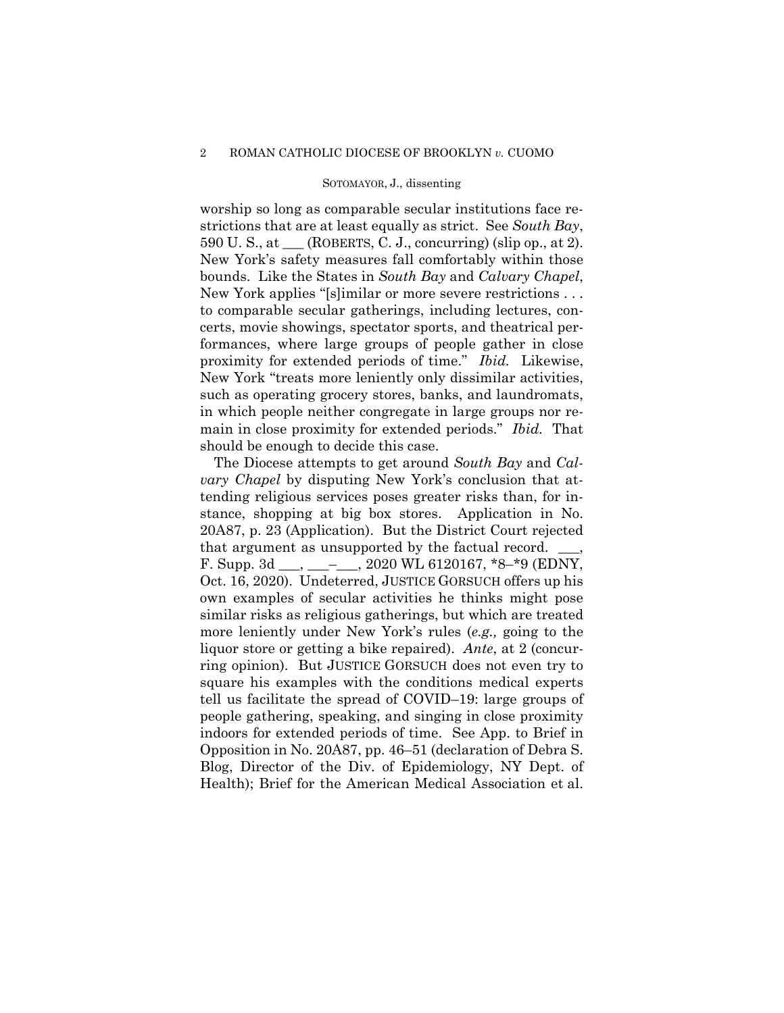worship so long as comparable secular institutions face restrictions that are at least equally as strict. See *South Bay*, 590 U. S., at  $\underline{\hspace{1cm}}$  (ROBERTS, C. J., concurring) (slip op., at 2). New York's safety measures fall comfortably within those bounds. Like the States in *South Bay* and *Calvary Chapel*, New York applies "[s]imilar or more severe restrictions . . . to comparable secular gatherings, including lectures, concerts, movie showings, spectator sports, and theatrical performances, where large groups of people gather in close proximity for extended periods of time." *Ibid.* Likewise, New York "treats more leniently only dissimilar activities, such as operating grocery stores, banks, and laundromats, in which people neither congregate in large groups nor remain in close proximity for extended periods." *Ibid.* That should be enough to decide this case.

The Diocese attempts to get around *South Bay* and *Calvary Chapel* by disputing New York's conclusion that attending religious services poses greater risks than, for instance, shopping at big box stores. Application in No. 20A87, p. 23 (Application). But the District Court rejected that argument as unsupported by the factual record. F. Supp. 3d \_\_\_, \_\_\_-\_\_\_, 2020 WL 6120167,  $*8-*9$  (EDNY, Oct. 16, 2020). Undeterred, JUSTICE GORSUCH offers up his own examples of secular activities he thinks might pose similar risks as religious gatherings, but which are treated more leniently under New York's rules (*e.g.,* going to the liquor store or getting a bike repaired). *Ante*, at 2 (concurring opinion). But JUSTICE GORSUCH does not even try to square his examples with the conditions medical experts tell us facilitate the spread of COVID–19: large groups of people gathering, speaking, and singing in close proximity indoors for extended periods of time. See App. to Brief in Opposition in No. 20A87, pp. 46–51 (declaration of Debra S. Blog, Director of the Div. of Epidemiology, NY Dept. of Health); Brief for the American Medical Association et al.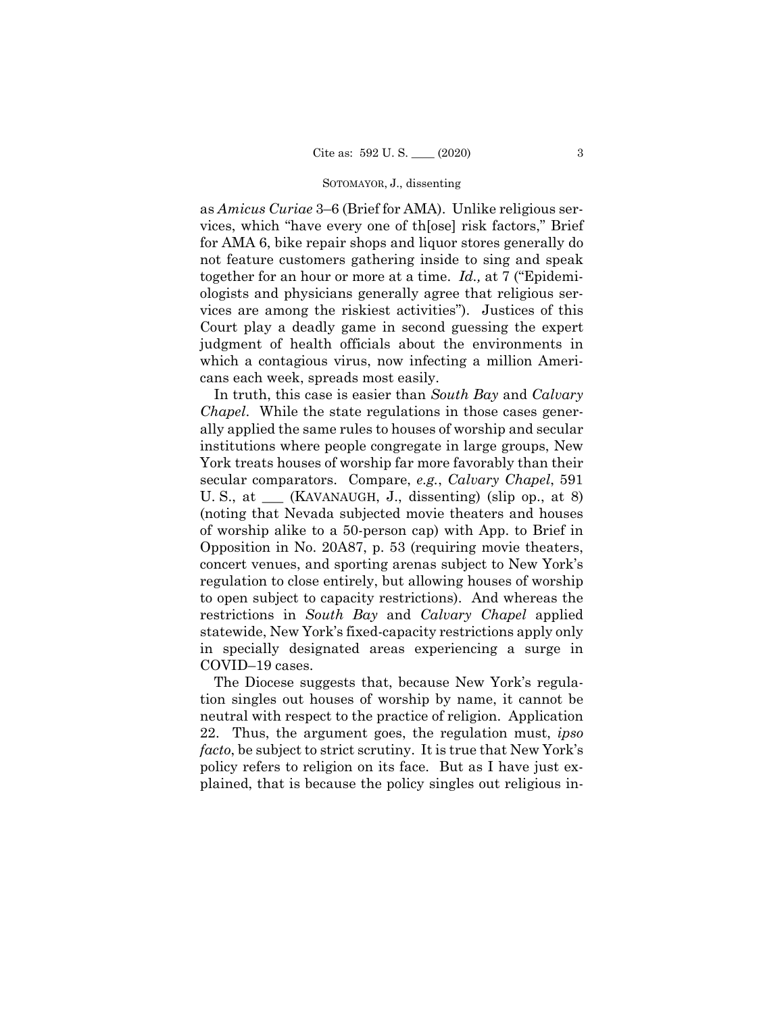as *Amicus Curiae* 3–6 (Brief for AMA). Unlike religious services, which "have every one of th[ose] risk factors," Brief for AMA 6, bike repair shops and liquor stores generally do not feature customers gathering inside to sing and speak together for an hour or more at a time. *Id.,* at 7 ("Epidemiologists and physicians generally agree that religious services are among the riskiest activities"). Justices of this Court play a deadly game in second guessing the expert judgment of health officials about the environments in which a contagious virus, now infecting a million Americans each week, spreads most easily.

In truth, this case is easier than *South Bay* and *Calvary Chapel*. While the state regulations in those cases generally applied the same rules to houses of worship and secular institutions where people congregate in large groups, New York treats houses of worship far more favorably than their secular comparators. Compare, *e.g.*, *Calvary Chapel*, 591 U. S., at \_\_\_ (KAVANAUGH, J., dissenting) (slip op., at 8) (noting that Nevada subjected movie theaters and houses of worship alike to a 50-person cap) with App. to Brief in Opposition in No. 20A87, p. 53 (requiring movie theaters, concert venues, and sporting arenas subject to New York's regulation to close entirely, but allowing houses of worship to open subject to capacity restrictions). And whereas the restrictions in *South Bay* and *Calvary Chapel* applied statewide, New York's fixed-capacity restrictions apply only in specially designated areas experiencing a surge in COVID–19 cases.

The Diocese suggests that, because New York's regulation singles out houses of worship by name, it cannot be neutral with respect to the practice of religion. Application 22. Thus, the argument goes, the regulation must, *ipso facto*, be subject to strict scrutiny. It is true that New York's policy refers to religion on its face. But as I have just explained, that is because the policy singles out religious in-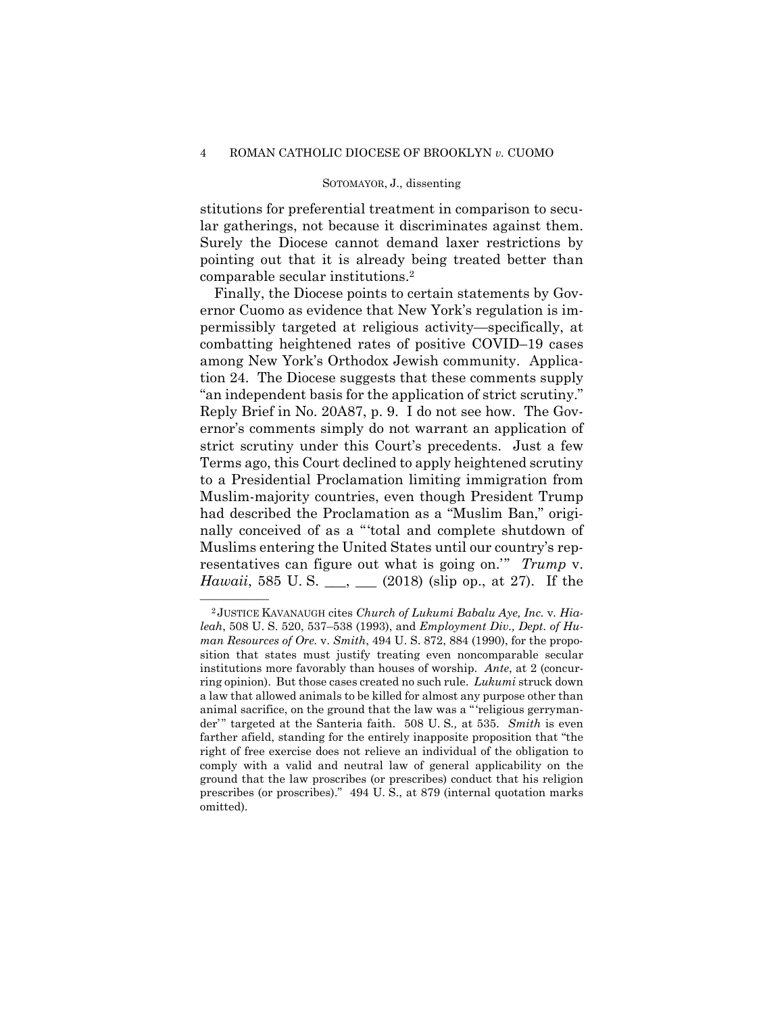stitutions for preferential treatment in comparison to secular gatherings, not because it discriminates against them. Surely the Diocese cannot demand laxer restrictions by pointing out that it is already being treated better than comparable secular institutions.2

Finally, the Diocese points to certain statements by Governor Cuomo as evidence that New York's regulation is impermissibly targeted at religious activity—specifically, at combatting heightened rates of positive COVID–19 cases among New York's Orthodox Jewish community. Application 24. The Diocese suggests that these comments supply "an independent basis for the application of strict scrutiny." Reply Brief in No. 20A87, p. 9. I do not see how. The Governor's comments simply do not warrant an application of strict scrutiny under this Court's precedents. Just a few Terms ago, this Court declined to apply heightened scrutiny to a Presidential Proclamation limiting immigration from Muslim-majority countries, even though President Trump had described the Proclamation as a "Muslim Ban," originally conceived of as a "'total and complete shutdown of Muslims entering the United States until our country's representatives can figure out what is going on.'" *Trump* v. *Hawaii*, 585 U.S. \_\_, \_\_ (2018) (slip op., at 27). If the

<sup>—————— 2</sup> JUSTICE KAVANAUGH cites *Church of Lukumi Babalu Aye, Inc.* v*. Hialeah*, 508 U. S. 520, 537–538 (1993), and *Employment Div., Dept. of Human Resources of Ore.* v. *Smith*, 494 U. S. 872, 884 (1990), for the proposition that states must justify treating even noncomparable secular institutions more favorably than houses of worship. *Ante*, at 2 (concurring opinion). But those cases created no such rule. *Lukumi* struck down a law that allowed animals to be killed for almost any purpose other than animal sacrifice, on the ground that the law was a " 'religious gerrymander'" targeted at the Santeria faith. 508 U.S., at 535. Smith is even farther afield, standing for the entirely inapposite proposition that "the right of free exercise does not relieve an individual of the obligation to comply with a valid and neutral law of general applicability on the ground that the law proscribes (or prescribes) conduct that his religion prescribes (or proscribes)." 494 U. S., at 879 (internal quotation marks omitted).